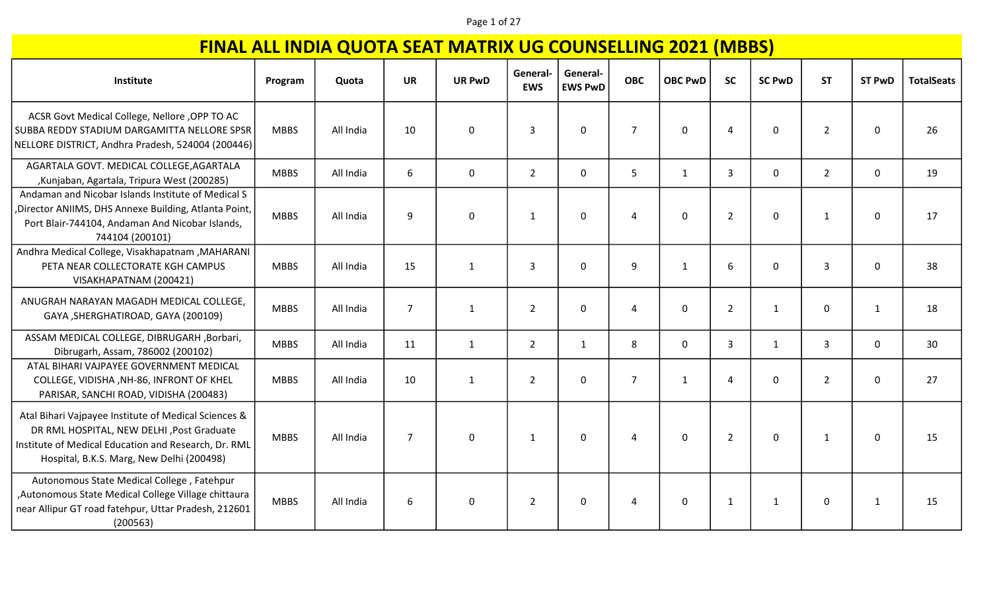#### Page 1 of 27

| Institute                                                                                                                                                                                               | Program     | Quota     | <b>UR</b>      | <b>UR PwD</b> | General-<br><b>EWS</b> | General-<br><b>EWS PwD</b> | <b>OBC</b>     | <b>OBC PwD</b> | <b>SC</b>      | <b>SC PwD</b> | <b>ST</b>      | <b>ST PwD</b> | <b>TotalSeats</b> |
|---------------------------------------------------------------------------------------------------------------------------------------------------------------------------------------------------------|-------------|-----------|----------------|---------------|------------------------|----------------------------|----------------|----------------|----------------|---------------|----------------|---------------|-------------------|
| ACSR Govt Medical College, Nellore , OPP TO AC<br>SUBBA REDDY STADIUM DARGAMITTA NELLORE SPSR<br>NELLORE DISTRICT, Andhra Pradesh, 524004 (200446)                                                      | <b>MBBS</b> | All India | 10             | $\mathbf 0$   | 3                      | 0                          | $\overline{7}$ | $\Omega$       | 4              | 0             | $\overline{2}$ | 0             | 26                |
| AGARTALA GOVT. MEDICAL COLLEGE, AGARTALA<br>, Kunjaban, Agartala, Tripura West (200285)                                                                                                                 | <b>MBBS</b> | All India | 6              | $\mathbf 0$   | $\overline{2}$         | 0                          | 5              | $\mathbf{1}$   | 3              | 0             | $\overline{2}$ | 0             | 19                |
| Andaman and Nicobar Islands Institute of Medical S<br>, Director ANIIMS, DHS Annexe Building, Atlanta Point,<br>Port Blair-744104, Andaman And Nicobar Islands,<br>744104 (200101)                      | <b>MBBS</b> | All India | 9              | $\mathbf 0$   | $\mathbf{1}$           | 0                          | $\Delta$       | $\Omega$       | $\overline{2}$ | 0             | $\mathbf{1}$   | 0             | 17                |
| Andhra Medical College, Visakhapatnam , MAHARANI<br>PETA NEAR COLLECTORATE KGH CAMPUS<br>VISAKHAPATNAM (200421)                                                                                         | <b>MBBS</b> | All India | 15             | $\mathbf{1}$  | 3                      | 0                          | 9              | $\mathbf{1}$   | 6              | 0             | 3              | 0             | 38                |
| ANUGRAH NARAYAN MAGADH MEDICAL COLLEGE,<br>GAYA, SHERGHATIROAD, GAYA (200109)                                                                                                                           | <b>MBBS</b> | All India | $\overline{7}$ | $\mathbf{1}$  | $\overline{2}$         | 0                          | 4              | $\mathbf{0}$   | $\overline{2}$ | $\mathbf{1}$  | 0              | 1             | 18                |
| ASSAM MEDICAL COLLEGE, DIBRUGARH , Borbari,<br>Dibrugarh, Assam, 786002 (200102)                                                                                                                        | <b>MBBS</b> | All India | 11             | $\mathbf{1}$  | $\overline{2}$         | $\mathbf{1}$               | 8              | $\mathbf 0$    | $\overline{3}$ | $\mathbf{1}$  | 3              | $\mathbf 0$   | 30                |
| ATAL BIHARI VAJPAYEE GOVERNMENT MEDICAL<br>COLLEGE, VIDISHA, NH-86, INFRONT OF KHEL<br>PARISAR, SANCHI ROAD, VIDISHA (200483)                                                                           | <b>MBBS</b> | All India | 10             | $\mathbf{1}$  | $\overline{2}$         | 0                          | $\overline{7}$ | $\mathbf{1}$   | $\overline{4}$ | 0             | $\overline{2}$ | 0             | 27                |
| Atal Bihari Vajpayee Institute of Medical Sciences &<br>DR RML HOSPITAL, NEW DELHI , Post Graduate<br>Institute of Medical Education and Research, Dr. RML<br>Hospital, B.K.S. Marg, New Delhi (200498) | <b>MBBS</b> | All India | $\overline{7}$ | 0             | 1                      | $\mathbf 0$                | 4              | $\mathbf 0$    | $\overline{2}$ | 0             | 1              | 0             | 15                |
| Autonomous State Medical College, Fatehpur<br>Autonomous State Medical College Village chittaura<br>near Allipur GT road fatehpur, Uttar Pradesh, 212601<br>(200563)                                    | <b>MBBS</b> | All India | 6              | 0             | $\overline{2}$         | 0                          | 4              | $\mathbf{0}$   | $\mathbf{1}$   | $\mathbf{1}$  | 0              | 1             | 15                |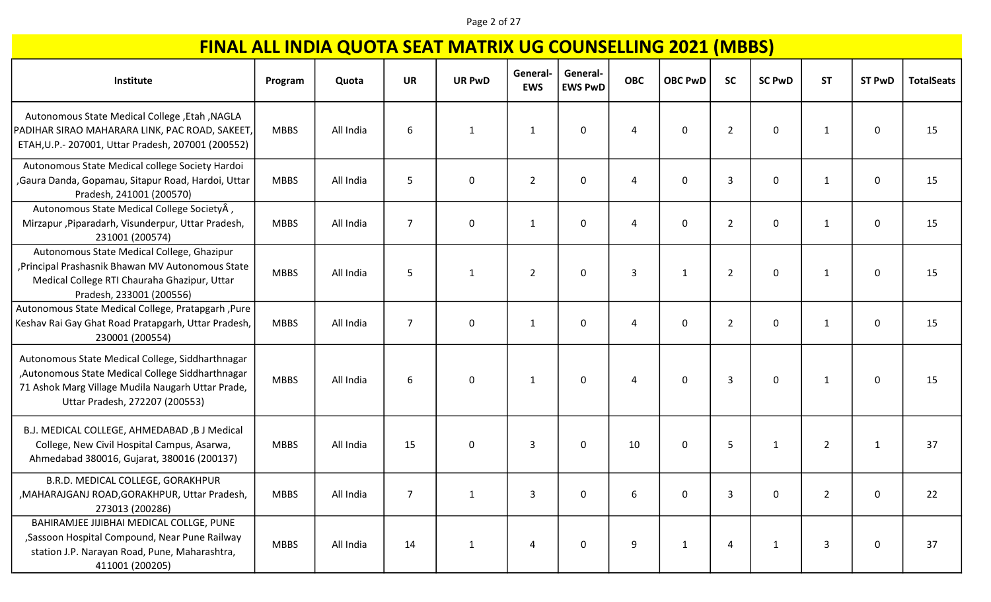#### Page 2 of 27

| Institute                                                                                                                                                                                    | Program     | Quota     | <b>UR</b>      | <b>UR PwD</b> | General<br><b>EWS</b> | General-<br><b>EWS PwD</b> | <b>OBC</b>     | <b>OBC PwD</b> | <b>SC</b>      | <b>SC PwD</b> | <b>ST</b>      | <b>ST PwD</b> | <b>TotalSeats</b> |
|----------------------------------------------------------------------------------------------------------------------------------------------------------------------------------------------|-------------|-----------|----------------|---------------|-----------------------|----------------------------|----------------|----------------|----------------|---------------|----------------|---------------|-------------------|
| Autonomous State Medical College , Etah , NAGLA<br>PADIHAR SIRAO MAHARARA LINK, PAC ROAD, SAKEET,<br>ETAH, U.P. - 207001, Uttar Pradesh, 207001 (200552)                                     | <b>MBBS</b> | All India | 6              | $\mathbf{1}$  | 1                     | 0                          | 4              | 0              | $\overline{2}$ | 0             | 1              | 0             | 15                |
| Autonomous State Medical college Society Hardoi<br>, Gaura Danda, Gopamau, Sitapur Road, Hardoi, Uttar<br>Pradesh, 241001 (200570)                                                           | <b>MBBS</b> | All India | 5              | $\mathbf 0$   | $\overline{2}$        | $\mathbf 0$                | 4              | 0              | $\overline{3}$ | 0             | 1              | 0             | 15                |
| Autonomous State Medical College SocietyÂ,<br>Mirzapur, Piparadarh, Visunderpur, Uttar Pradesh,<br>231001 (200574)                                                                           | <b>MBBS</b> | All India | $\overline{7}$ | $\mathbf 0$   | $\mathbf{1}$          | $\Omega$                   | 4              | $\mathbf{0}$   | $\overline{2}$ | 0             | 1              | 0             | 15                |
| Autonomous State Medical College, Ghazipur<br>, Principal Prashasnik Bhawan MV Autonomous State<br>Medical College RTI Chauraha Ghazipur, Uttar<br>Pradesh, 233001 (200556)                  | <b>MBBS</b> | All India | 5              | $\mathbf{1}$  | $\overline{2}$        | $\mathbf 0$                | $\overline{3}$ | 1              | $\overline{2}$ | 0             | 1              | 0             | 15                |
| Autonomous State Medical College, Pratapgarh, Pure<br>Keshav Rai Gay Ghat Road Pratapgarh, Uttar Pradesh,<br>230001 (200554)                                                                 | <b>MBBS</b> | All India | $\overline{7}$ | 0             | $\mathbf{1}$          | $\mathbf 0$                | 4              | 0              | $\overline{2}$ | 0             | 1              | 0             | 15                |
| Autonomous State Medical College, Siddharthnagar<br>, Autonomous State Medical College Siddharthnagar<br>71 Ashok Marg Village Mudila Naugarh Uttar Prade,<br>Uttar Pradesh, 272207 (200553) | <b>MBBS</b> | All India | 6              | $\mathbf 0$   | 1                     | $\mathbf{0}$               | Δ              | 0              | $\overline{3}$ | 0             | 1              | 0             | 15                |
| B.J. MEDICAL COLLEGE, AHMEDABAD, B J Medical<br>College, New Civil Hospital Campus, Asarwa,<br>Ahmedabad 380016, Gujarat, 380016 (200137)                                                    | <b>MBBS</b> | All India | 15             | $\mathbf 0$   | 3                     | $\mathbf{0}$               | 10             | $\Omega$       | 5              | $\mathbf{1}$  | $\overline{2}$ | $\mathbf{1}$  | 37                |
| B.R.D. MEDICAL COLLEGE, GORAKHPUR<br>, MAHARAJGANJ ROAD, GORAKHPUR, Uttar Pradesh,<br>273013 (200286)                                                                                        | <b>MBBS</b> | All India |                |               | 3                     |                            |                |                | 3              | 0             | 2              | $\mathbf{0}$  | 22                |
| BAHIRAMJEE JIJIBHAI MEDICAL COLLGE, PUNE<br>, Sassoon Hospital Compound, Near Pune Railway<br>station J.P. Narayan Road, Pune, Maharashtra,<br>411001 (200205)                               | <b>MBBS</b> | All India | 14             | $\mathbf{1}$  | 4                     | $\mathbf 0$                | 9              | $\mathbf{1}$   | 4              | 1             | 3              | 0             | 37                |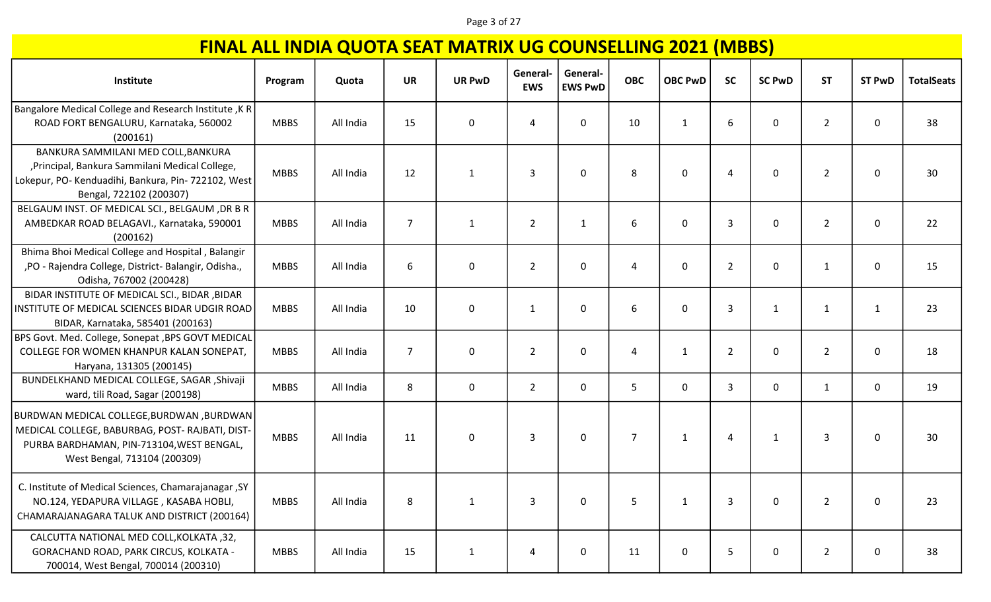#### Page 3 of 27

| Institute                                                                                                                                                                | Program     | Quota     | <b>UR</b>      | <b>UR PwD</b> | General-<br><b>EWS</b> | General-<br><b>EWS PwD</b> | <b>OBC</b>     | <b>OBC PwD</b> | <b>SC</b>      | <b>SC PwD</b> | <b>ST</b>      | <b>ST PwD</b> | <b>TotalSeats</b> |
|--------------------------------------------------------------------------------------------------------------------------------------------------------------------------|-------------|-----------|----------------|---------------|------------------------|----------------------------|----------------|----------------|----------------|---------------|----------------|---------------|-------------------|
| <b>Bangalore Medical College and Research Institute, K R</b><br>ROAD FORT BENGALURU, Karnataka, 560002<br>(200161)                                                       | <b>MBBS</b> | All India | 15             | 0             | 4                      | $\mathbf{0}$               | 10             | $\mathbf{1}$   | 6              | 0             | $\overline{2}$ | 0             | 38                |
| BANKURA SAMMILANI MED COLL, BANKURA<br>, Principal, Bankura Sammilani Medical College,<br>Lokepur, PO- Kenduadihi, Bankura, Pin- 722102, West<br>Bengal, 722102 (200307) | <b>MBBS</b> | All India | 12             | $\mathbf{1}$  | 3                      | $\mathbf{0}$               | 8              | $\mathbf 0$    | 4              | 0             | $\overline{2}$ | 0             | 30                |
| BELGAUM INST. OF MEDICAL SCI., BELGAUM, DR B R<br>AMBEDKAR ROAD BELAGAVI., Karnataka, 590001<br>(200162)                                                                 | <b>MBBS</b> | All India | $\overline{7}$ | $\mathbf{1}$  | $\overline{2}$         | $\mathbf{1}$               | 6              | $\mathbf 0$    | 3              | 0             | $\overline{2}$ | 0             | 22                |
| Bhima Bhoi Medical College and Hospital, Balangir<br>,PO - Rajendra College, District- Balangir, Odisha.,<br>Odisha, 767002 (200428)                                     | <b>MBBS</b> | All India | 6              | $\mathbf 0$   | $\overline{2}$         | 0                          | 4              | $\mathbf 0$    | $\overline{2}$ | $\mathbf 0$   | 1              | 0             | 15                |
| BIDAR INSTITUTE OF MEDICAL SCI., BIDAR , BIDAR<br>INSTITUTE OF MEDICAL SCIENCES BIDAR UDGIR ROAD<br>BIDAR, Karnataka, 585401 (200163)                                    | <b>MBBS</b> | All India | 10             | $\mathbf 0$   | $\mathbf{1}$           | $\mathbf{0}$               | 6              | $\mathbf 0$    | $\overline{3}$ | $\mathbf{1}$  | $\mathbf{1}$   | $\mathbf{1}$  | 23                |
| BPS Govt. Med. College, Sonepat, BPS GOVT MEDICAL<br>COLLEGE FOR WOMEN KHANPUR KALAN SONEPAT,<br>Haryana, 131305 (200145)                                                | <b>MBBS</b> | All India | $\overline{7}$ | 0             | $\overline{2}$         | 0                          | 4              | 1              | $\overline{2}$ | 0             | $\overline{2}$ | 0             | 18                |
| BUNDELKHAND MEDICAL COLLEGE, SAGAR , Shivaji<br>ward, tili Road, Sagar (200198)                                                                                          | <b>MBBS</b> | All India | 8              | 0             | $\overline{2}$         | 0                          | 5              | 0              | 3              | 0             | 1              | 0             | 19                |
| BURDWAN MEDICAL COLLEGE,BURDWAN ,BURDWAN<br>MEDICAL COLLEGE, BABURBAG, POST- RAJBATI, DIST-<br>PURBA BARDHAMAN, PIN-713104, WEST BENGAL,<br>West Bengal, 713104 (200309) | <b>MBBS</b> | All India | 11             | 0             | 3                      | 0                          | $\overline{7}$ | 1              | $\overline{4}$ | $\mathbf{1}$  | 3              | 0             | 30                |
| C. Institute of Medical Sciences, Chamarajanagar, SY<br>NO.124, YEDAPURA VILLAGE, KASABA HOBLI,<br>CHAMARAJANAGARA TALUK AND DISTRICT (200164)                           | <b>MBBS</b> | All India | $\,8\,$        | 1             | 3                      | 0                          | 5              | 1              | 3              | 0             | $\overline{2}$ | 0             | 23                |
| CALCUTTA NATIONAL MED COLL, KOLKATA, 32,<br>GORACHAND ROAD, PARK CIRCUS, KOLKATA -<br>700014, West Bengal, 700014 (200310)                                               | <b>MBBS</b> | All India | 15             | $\mathbf{1}$  | 4                      | 0                          | 11             | $\mathbf 0$    | 5              | 0             | $\overline{2}$ | 0             | 38                |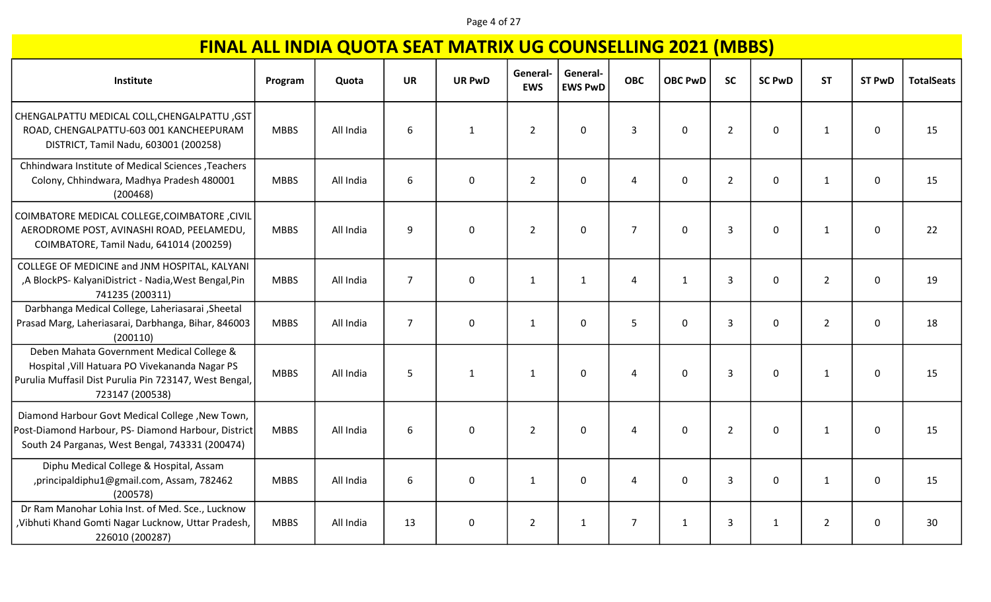#### Page 4 of 27

| Institute                                                                                                                                                                 | Program     | Quota     | <b>UR</b>      | <b>UR PwD</b> | <b>General</b><br><b>EWS</b> | General-<br><b>EWS PwD</b> | <b>OBC</b>     | <b>OBC PwD</b> | <b>SC</b>      | <b>SC PwD</b> | <b>ST</b>      | <b>ST PwD</b> | <b>TotalSeats</b> |
|---------------------------------------------------------------------------------------------------------------------------------------------------------------------------|-------------|-----------|----------------|---------------|------------------------------|----------------------------|----------------|----------------|----------------|---------------|----------------|---------------|-------------------|
| CHENGALPATTU MEDICAL COLL, CHENGALPATTU, GST<br>ROAD, CHENGALPATTU-603 001 KANCHEEPURAM<br>DISTRICT, Tamil Nadu, 603001 (200258)                                          | <b>MBBS</b> | All India | 6              | $\mathbf{1}$  | $\overline{2}$               | $\mathbf 0$                | 3              | $\mathbf 0$    | $\overline{2}$ | 0             | $\mathbf{1}$   | $\mathbf 0$   | 15                |
| Chhindwara Institute of Medical Sciences , Teachers<br>Colony, Chhindwara, Madhya Pradesh 480001<br>(200468)                                                              | <b>MBBS</b> | All India | 6              | $\mathbf 0$   | $\overline{2}$               | $\Omega$                   | 4              | $\Omega$       | $\overline{2}$ | 0             | $\mathbf{1}$   | $\mathbf 0$   | 15                |
| COIMBATORE MEDICAL COLLEGE, COIMBATORE, CIVIL<br>AERODROME POST, AVINASHI ROAD, PEELAMEDU,<br>COIMBATORE, Tamil Nadu, 641014 (200259)                                     | <b>MBBS</b> | All India | 9              | $\pmb{0}$     | $\overline{2}$               | $\mathbf 0$                | $\overline{7}$ | $\mathbf{0}$   | $\overline{3}$ | 0             | $\mathbf{1}$   | $\mathbf 0$   | 22                |
| COLLEGE OF MEDICINE and JNM HOSPITAL, KALYANI<br>,A BlockPS- KalyaniDistrict - Nadia, West Bengal, Pin<br>741235 (200311)                                                 | <b>MBBS</b> | All India | $\overline{7}$ | $\pmb{0}$     | $\mathbf{1}$                 | $\mathbf{1}$               | 4              | $\mathbf{1}$   | $\overline{3}$ | 0             | $\overline{2}$ | $\mathbf 0$   | 19                |
| Darbhanga Medical College, Laheriasarai, Sheetal<br>Prasad Marg, Laheriasarai, Darbhanga, Bihar, 846003<br>(200110)                                                       | <b>MBBS</b> | All India | $\overline{7}$ | $\pmb{0}$     | $\mathbf{1}$                 | $\mathbf 0$                | 5              | $\mathbf 0$    | $\overline{3}$ | 0             | $\overline{2}$ | $\mathbf 0$   | 18                |
| Deben Mahata Government Medical College &<br>Hospital , Vill Hatuara PO Vivekananda Nagar PS<br>Purulia Muffasil Dist Purulia Pin 723147, West Bengal,<br>723147 (200538) | <b>MBBS</b> | All India | 5              | $\mathbf{1}$  | 1                            | $\mathbf 0$                | 4              | $\mathbf 0$    | $\overline{3}$ | 0             | 1              | $\mathbf 0$   | 15                |
| Diamond Harbour Govt Medical College, New Town,<br>Post-Diamond Harbour, PS- Diamond Harbour, District<br>South 24 Parganas, West Bengal, 743331 (200474)                 | <b>MBBS</b> | All India | 6              | 0             | $\overline{2}$               | $\mathbf 0$                | 4              | $\mathbf 0$    | $\overline{2}$ | 0             | 1              | $\mathbf 0$   | 15                |
| Diphu Medical College & Hospital, Assam<br>, principaldiphu1@gmail.com, Assam, 782462<br>(200578)                                                                         | <b>MBBS</b> | All India | 6              | $\mathbf 0$   | 1                            | $\mathbf{0}$               | 4              | $\mathbf{0}$   | $\overline{3}$ | 0             | $\mathbf{1}$   | 0             | 15                |
| Dr Ram Manohar Lohia Inst. of Med. Sce., Lucknow<br>, Vibhuti Khand Gomti Nagar Lucknow, Uttar Pradesh,<br>226010 (200287)                                                | <b>MBBS</b> | All India | 13             | $\mathbf 0$   | $\overline{2}$               | $\mathbf{1}$               | $\overline{7}$ | $\mathbf{1}$   | $\overline{3}$ | $\mathbf{1}$  | $\overline{2}$ | 0             | 30                |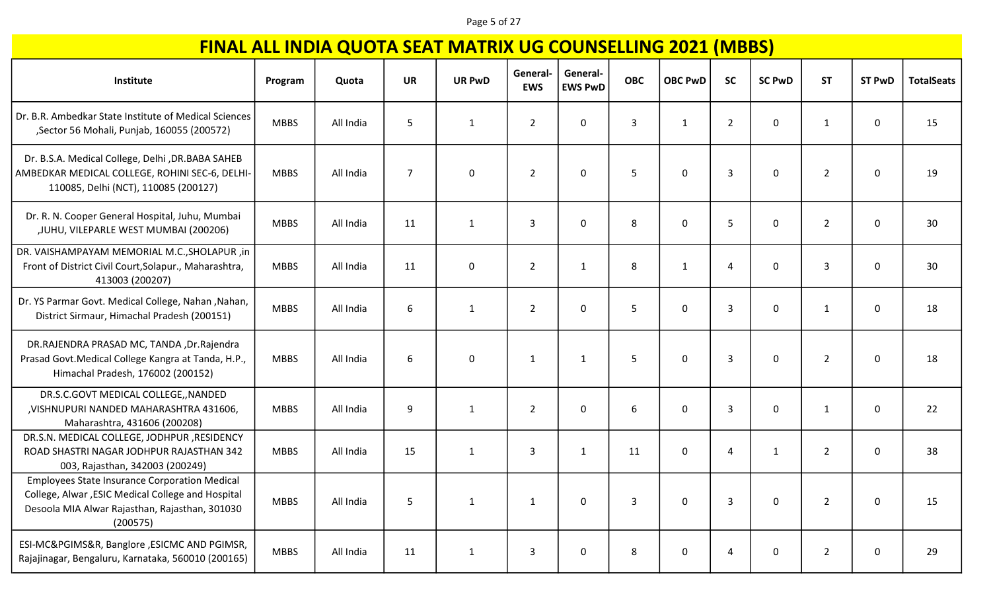#### Page 5 of 27

| Institute                                                                                                                                                               | Program     | Quota     | <b>UR</b>      | <b>UR PwD</b> | General-<br><b>EWS</b> | General-<br><b>EWS PwD</b> | <b>OBC</b> | <b>OBC PwD</b> | <b>SC</b>      | <b>SC PwD</b> | <b>ST</b>      | <b>ST PwD</b> | <b>TotalSeats</b> |
|-------------------------------------------------------------------------------------------------------------------------------------------------------------------------|-------------|-----------|----------------|---------------|------------------------|----------------------------|------------|----------------|----------------|---------------|----------------|---------------|-------------------|
| Dr. B.R. Ambedkar State Institute of Medical Sciences<br>, Sector 56 Mohali, Punjab, 160055 (200572)                                                                    | <b>MBBS</b> | All India | 5              | $\mathbf{1}$  | $\overline{2}$         | 0                          | 3          | $\mathbf{1}$   | $\overline{2}$ | 0             | 1              | 0             | 15                |
| Dr. B.S.A. Medical College, Delhi , DR.BABA SAHEB<br>AMBEDKAR MEDICAL COLLEGE, ROHINI SEC-6, DELHI-<br>110085, Delhi (NCT), 110085 (200127)                             | <b>MBBS</b> | All India | $\overline{7}$ | $\mathbf 0$   | $\overline{2}$         | $\mathbf 0$                | 5          | $\mathbf 0$    | $\overline{3}$ | 0             | $\overline{2}$ | 0             | 19                |
| Dr. R. N. Cooper General Hospital, Juhu, Mumbai<br>, JUHU, VILEPARLE WEST MUMBAI (200206)                                                                               | <b>MBBS</b> | All India | 11             | $\mathbf{1}$  | 3                      | $\mathbf 0$                | 8          | 0              | 5              | 0             | $\overline{2}$ | 0             | 30                |
| DR. VAISHAMPAYAM MEMORIAL M.C., SHOLAPUR, in<br>Front of District Civil Court, Solapur., Maharashtra,<br>413003 (200207)                                                | <b>MBBS</b> | All India | 11             | $\mathbf 0$   | $\overline{2}$         | $\mathbf{1}$               | 8          | 1              | $\overline{4}$ | 0             | 3              | 0             | 30                |
| Dr. YS Parmar Govt. Medical College, Nahan, Nahan,<br>District Sirmaur, Himachal Pradesh (200151)                                                                       | <b>MBBS</b> | All India | 6              | $\mathbf{1}$  | $\overline{2}$         | $\mathbf 0$                | 5          | $\mathbf 0$    | 3              | 0             | 1              | 0             | 18                |
| DR.RAJENDRA PRASAD MC, TANDA , Dr.Rajendra<br>Prasad Govt. Medical College Kangra at Tanda, H.P.,<br>Himachal Pradesh, 176002 (200152)                                  | <b>MBBS</b> | All India | 6              | $\mathbf 0$   | $\mathbf{1}$           | $\mathbf{1}$               | 5          | $\mathbf 0$    | 3              | 0             | $\overline{2}$ | $\mathbf 0$   | 18                |
| DR.S.C.GOVT MEDICAL COLLEGE,, NANDED<br>, VISHNUPURI NANDED MAHARASHTRA 431606,<br>Maharashtra, 431606 (200208)                                                         | <b>MBBS</b> | All India | 9              | $\mathbf{1}$  | $\overline{2}$         | $\mathbf 0$                | 6          | $\mathbf{0}$   | 3              | 0             | 1              | 0             | 22                |
| DR.S.N. MEDICAL COLLEGE, JODHPUR , RESIDENCY<br>ROAD SHASTRI NAGAR JODHPUR RAJASTHAN 342<br>003, Rajasthan, 342003 (200249)                                             | <b>MBBS</b> | All India | 15             | $\mathbf{1}$  | 3                      | $\mathbf{1}$               | 11         | 0              | $\overline{4}$ | 1             | $\overline{2}$ | 0             | 38                |
| <b>Employees State Insurance Corporation Medical</b><br>College, Alwar, ESIC Medical College and Hospital<br>Desoola MIA Alwar Rajasthan, Rajasthan, 301030<br>(200575) | <b>MBBS</b> | All India | 5              | $\mathbf{1}$  |                        | 0                          | 3          | $\Omega$       | 3              | 0             | $\overline{2}$ | 0             | 15                |
| ESI-MC&PGIMS&R, Banglore , ESICMC AND PGIMSR,<br>Rajajinagar, Bengaluru, Karnataka, 560010 (200165)                                                                     | <b>MBBS</b> | All India | 11             | $\mathbf{1}$  | 3                      | 0                          | 8          | 0              | $\overline{a}$ | 0             | $\overline{2}$ | 0             | 29                |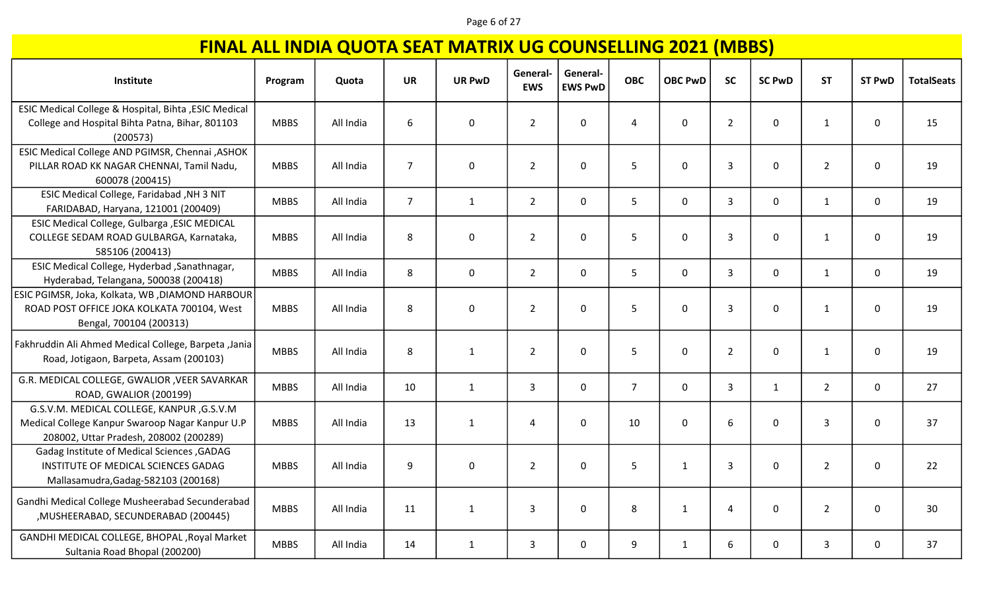#### Page 6 of 27

| Institute                                                                                                                              | Program     | Quota     | <b>UR</b>      | <b>UR PwD</b> | General-<br><b>EWS</b> | General-<br><b>EWS PwD</b> | <b>OBC</b>     | <b>OBC PwD</b> | <b>SC</b>      | <b>SC PwD</b> | <b>ST</b>      | <b>ST PwD</b> | <b>TotalSeats</b> |
|----------------------------------------------------------------------------------------------------------------------------------------|-------------|-----------|----------------|---------------|------------------------|----------------------------|----------------|----------------|----------------|---------------|----------------|---------------|-------------------|
| ESIC Medical College & Hospital, Bihta , ESIC Medical<br>College and Hospital Bihta Patna, Bihar, 801103<br>(200573)                   | <b>MBBS</b> | All India | 6              | $\pmb{0}$     | $\overline{2}$         | $\mathbf 0$                | 4              | $\mathbf 0$    | $\overline{2}$ | 0             | $\mathbf{1}$   | 0             | 15                |
| ESIC Medical College AND PGIMSR, Chennai , ASHOK<br>PILLAR ROAD KK NAGAR CHENNAI, Tamil Nadu,<br>600078 (200415)                       | <b>MBBS</b> | All India | $\overline{7}$ | $\pmb{0}$     | $\overline{2}$         | $\mathbf 0$                | 5              | $\mathbf 0$    | $\overline{3}$ | 0             | $\overline{2}$ | 0             | 19                |
| ESIC Medical College, Faridabad , NH 3 NIT<br>FARIDABAD, Haryana, 121001 (200409)                                                      | <b>MBBS</b> | All India | $\overline{7}$ | $\mathbf{1}$  | $\overline{2}$         | $\mathbf 0$                | 5 <sub>1</sub> | $\mathsf{O}$   | $\overline{3}$ | 0             | $\mathbf{1}$   | $\mathbf 0$   | 19                |
| ESIC Medical College, Gulbarga , ESIC MEDICAL<br>COLLEGE SEDAM ROAD GULBARGA, Karnataka,<br>585106 (200413)                            | <b>MBBS</b> | All India | 8              | $\mathbf 0$   | $\overline{2}$         | $\mathbf 0$                | 5 <sup>5</sup> | $\mathbf{0}$   | $\overline{3}$ | 0             | $\mathbf{1}$   | 0             | 19                |
| ESIC Medical College, Hyderbad, Sanathnagar,<br>Hyderabad, Telangana, 500038 (200418)                                                  | <b>MBBS</b> | All India | 8              | $\mathbf 0$   | $\overline{2}$         | $\mathbf 0$                | 5 <sup>1</sup> | 0              | $\mathbf{3}$   | 0             | $\mathbf{1}$   | 0             | 19                |
| ESIC PGIMSR, Joka, Kolkata, WB ,DIAMOND HARBOUR<br>ROAD POST OFFICE JOKA KOLKATA 700104, West<br>Bengal, 700104 (200313)               | <b>MBBS</b> | All India | 8              | $\pmb{0}$     | $\overline{2}$         | $\mathbf 0$                | 5              | $\mathbf 0$    | $\overline{3}$ | 0             | $\mathbf{1}$   | 0             | 19                |
| Fakhruddin Ali Ahmed Medical College, Barpeta, Jania<br>Road, Jotigaon, Barpeta, Assam (200103)                                        | <b>MBBS</b> | All India | 8              | $\mathbf{1}$  | $\overline{2}$         | $\mathbf 0$                | 5              | $\mathbf 0$    | $\overline{2}$ | 0             | $\mathbf{1}$   | $\mathbf 0$   | 19                |
| G.R. MEDICAL COLLEGE, GWALIOR , VEER SAVARKAR<br>ROAD, GWALIOR (200199)                                                                | <b>MBBS</b> | All India | 10             | $\mathbf{1}$  | $\overline{3}$         | $\mathbf 0$                | $7^{\circ}$    | $\mathbf 0$    | $\overline{3}$ | $\mathbf{1}$  | $\overline{2}$ | $\mathbf 0$   | 27                |
| G.S.V.M. MEDICAL COLLEGE, KANPUR, G.S.V.M<br>Medical College Kanpur Swaroop Nagar Kanpur U.P<br>208002, Uttar Pradesh, 208002 (200289) | <b>MBBS</b> | All India | 13             | $\mathbf{1}$  | 4                      | $\mathbf 0$                | 10             | 0              | 6              | 0             | 3              | 0             | 37                |
| Gadag Institute of Medical Sciences, GADAG<br>INSTITUTE OF MEDICAL SCIENCES GADAG<br>Mallasamudra, Gadag-582103 (200168)               | <b>MBBS</b> | All India | 9              | $\mathbf 0$   | $\overline{2}$         | $\mathbf 0$                | 5              | $\mathbf{1}$   | $\overline{3}$ | 0             | $\overline{2}$ | 0             | 22                |
| Gandhi Medical College Musheerabad Secunderabad<br>, MUSHEERABAD, SECUNDERABAD (200445)                                                | <b>MBBS</b> | All India | 11             | $\mathbf{1}$  | $\overline{3}$         | $\Omega$                   | 8              | $\mathbf{1}$   | $\overline{4}$ | 0             | $\overline{2}$ | $\mathbf 0$   | 30                |
| GANDHI MEDICAL COLLEGE, BHOPAL , Royal Market<br>Sultania Road Bhopal (200200)                                                         | <b>MBBS</b> | All India | 14             | $\mathbf{1}$  | 3                      | $\Omega$                   | 9              | 1              | 6              | 0             | $\overline{3}$ | 0             | 37                |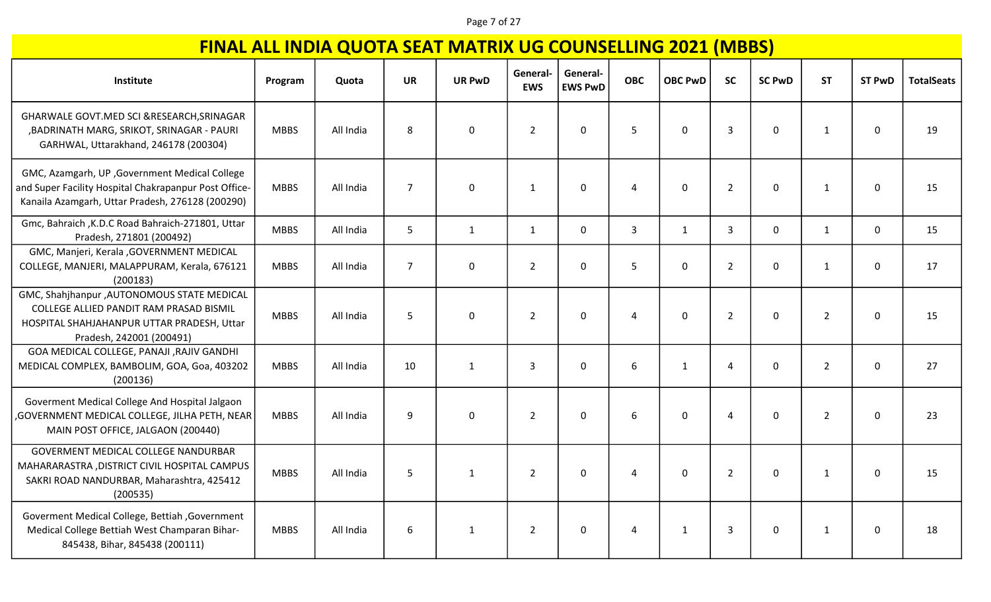#### Page 7 of 27

| Institute                                                                                                                                                        | Program     | Quota     | <b>UR</b>      | <b>UR PwD</b> | General-<br><b>EWS</b> | General-<br><b>EWS PwD</b> | <b>OBC</b>     | <b>OBC PwD</b> | <b>SC</b>      | <b>SC PwD</b> | <b>ST</b>      | <b>ST PwD</b> | <b>TotalSeats</b> |
|------------------------------------------------------------------------------------------------------------------------------------------------------------------|-------------|-----------|----------------|---------------|------------------------|----------------------------|----------------|----------------|----------------|---------------|----------------|---------------|-------------------|
| GHARWALE GOVT.MED SCI &RESEARCH, SRINAGAR<br>, BADRINATH MARG, SRIKOT, SRINAGAR - PAURI<br>GARHWAL, Uttarakhand, 246178 (200304)                                 | <b>MBBS</b> | All India | 8              | $\mathbf 0$   | $\overline{2}$         | $\mathbf 0$                | 5              | $\mathbf 0$    | $\overline{3}$ | 0             | $\mathbf{1}$   | $\mathbf 0$   | 19                |
| GMC, Azamgarh, UP, Government Medical College<br>and Super Facility Hospital Chakrapanpur Post Office-<br>Kanaila Azamgarh, Uttar Pradesh, 276128 (200290)       | <b>MBBS</b> | All India | $\overline{7}$ | $\mathbf 0$   | 1                      | $\mathbf 0$                | $\overline{4}$ | $\mathbf 0$    | $\overline{2}$ | 0             | 1              | 0             | 15                |
| Gmc, Bahraich , K.D.C Road Bahraich-271801, Uttar<br>Pradesh, 271801 (200492)                                                                                    | <b>MBBS</b> | All India | 5              | $\mathbf{1}$  | $\mathbf{1}$           | $\mathbf 0$                | $\overline{3}$ | $\mathbf{1}$   | $\overline{3}$ | 0             | 1              | $\mathbf 0$   | 15                |
| GMC, Manjeri, Kerala , GOVERNMENT MEDICAL<br>COLLEGE, MANJERI, MALAPPURAM, Kerala, 676121<br>(200183)                                                            | <b>MBBS</b> | All India | $\overline{7}$ | $\mathbf 0$   | $\overline{2}$         | $\Omega$                   | 5              | $\Omega$       | $\overline{2}$ | 0             | $\mathbf{1}$   | 0             | 17                |
| GMC, Shahjhanpur , AUTONOMOUS STATE MEDICAL<br>COLLEGE ALLIED PANDIT RAM PRASAD BISMIL<br>HOSPITAL SHAHJAHANPUR UTTAR PRADESH, Uttar<br>Pradesh, 242001 (200491) | <b>MBBS</b> | All India | 5              | $\mathbf 0$   | $\overline{2}$         | $\mathbf 0$                | $\overline{4}$ | $\mathbf 0$    | $\overline{2}$ | 0             | $\overline{2}$ | $\mathbf{0}$  | 15                |
| GOA MEDICAL COLLEGE, PANAJI , RAJIV GANDHI<br>MEDICAL COMPLEX, BAMBOLIM, GOA, Goa, 403202<br>(200136)                                                            | <b>MBBS</b> | All India | 10             | $\mathbf{1}$  | $\overline{3}$         | $\Omega$                   | 6              | $\mathbf{1}$   | $\overline{4}$ | $\mathbf 0$   | $\overline{2}$ | $\mathbf{0}$  | 27                |
| Goverment Medical College And Hospital Jalgaon<br>GOVERNMENT MEDICAL COLLEGE, JILHA PETH, NEAR,<br>MAIN POST OFFICE, JALGAON (200440)                            | <b>MBBS</b> | All India | 9              | $\mathbf 0$   | $\overline{2}$         | $\mathbf 0$                | 6              | $\mathbf{0}$   | 4              | 0             | $\overline{2}$ | $\mathbf{0}$  | 23                |
| GOVERMENT MEDICAL COLLEGE NANDURBAR<br>MAHARARASTRA, DISTRICT CIVIL HOSPITAL CAMPUS<br>SAKRI ROAD NANDURBAR, Maharashtra, 425412<br>(200535)                     | <b>MBBS</b> | All India | 5              | $\mathbf{1}$  | $\overline{2}$         | $\mathbf 0$                | 4              | $\mathbf 0$    | $\overline{2}$ | 0             | 1              | $\mathbf 0$   | 15                |
| Goverment Medical College, Bettiah, Government<br>Medical College Bettiah West Champaran Bihar-<br>845438, Bihar, 845438 (200111)                                | <b>MBBS</b> | All India | 6              | $\mathbf{1}$  | $\overline{2}$         | $\mathbf 0$                | 4              | 1              | $\mathbf{3}$   | 0             | $\mathbf{1}$   | $\mathbf 0$   | 18                |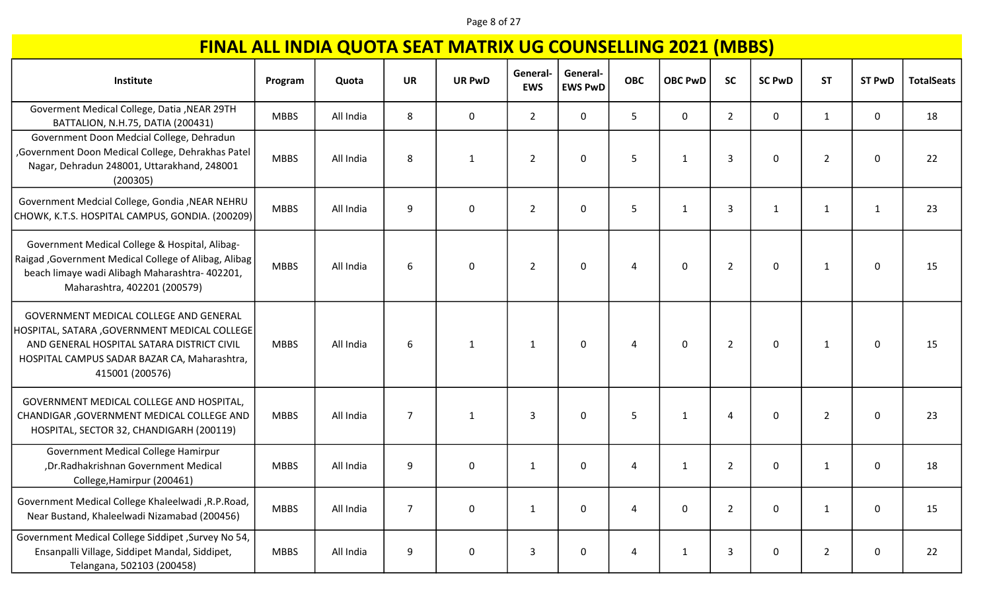#### Page 8 of 27

| Institute                                                                                                                                                                                               | Program     | Quota     | <b>UR</b>      | <b>UR PwD</b> | General-<br><b>EWS</b> | General-<br><b>EWS PwD</b> | <b>OBC</b>     | <b>OBC PwD</b> | <b>SC</b>      | <b>SC PwD</b> | <b>ST</b>      | <b>ST PwD</b> | <b>TotalSeats</b> |
|---------------------------------------------------------------------------------------------------------------------------------------------------------------------------------------------------------|-------------|-----------|----------------|---------------|------------------------|----------------------------|----------------|----------------|----------------|---------------|----------------|---------------|-------------------|
| Goverment Medical College, Datia , NEAR 29TH<br>BATTALION, N.H.75, DATIA (200431)                                                                                                                       | <b>MBBS</b> | All India | 8              | 0             | $\overline{2}$         | 0                          | 5              | 0              | $\overline{2}$ | 0             | 1              | 0             | 18                |
| Government Doon Medcial College, Dehradun<br>, Government Doon Medical College, Dehrakhas Patel<br>Nagar, Dehradun 248001, Uttarakhand, 248001<br>(200305)                                              | <b>MBBS</b> | All India | 8              | $\mathbf{1}$  | $\overline{2}$         | 0                          | 5              | $\mathbf{1}$   | 3              | 0             | $\overline{2}$ | 0             | 22                |
| Government Medcial College, Gondia , NEAR NEHRU<br>CHOWK, K.T.S. HOSPITAL CAMPUS, GONDIA. (200209)                                                                                                      | <b>MBBS</b> | All India | 9              | 0             | $\overline{2}$         | 0                          | 5              | $\mathbf{1}$   | 3              | 1             | $\mathbf{1}$   | $\mathbf{1}$  | 23                |
| Government Medical College & Hospital, Alibag-<br>Raigad , Government Medical College of Alibag, Alibag<br>beach limaye wadi Alibagh Maharashtra- 402201,<br>Maharashtra, 402201 (200579)               | <b>MBBS</b> | All India | 6              | 0             | $\overline{2}$         | 0                          | 4              | $\mathbf 0$    | $\overline{2}$ | 0             | 1              | $\mathbf 0$   | 15                |
| GOVERNMENT MEDICAL COLLEGE AND GENERAL<br>HOSPITAL, SATARA, GOVERNMENT MEDICAL COLLEGE<br>AND GENERAL HOSPITAL SATARA DISTRICT CIVIL<br>HOSPITAL CAMPUS SADAR BAZAR CA, Maharashtra,<br>415001 (200576) | <b>MBBS</b> | All India | 6              | 1             | 1                      | 0                          | Δ              | 0              | $\overline{2}$ | 0             | $\mathbf{1}$   | 0             | 15                |
| GOVERNMENT MEDICAL COLLEGE AND HOSPITAL,<br>CHANDIGAR, GOVERNMENT MEDICAL COLLEGE AND<br>HOSPITAL, SECTOR 32, CHANDIGARH (200119)                                                                       | <b>MBBS</b> | All India | $\overline{7}$ | 1             | 3                      | 0                          | 5              | $\mathbf{1}$   | $\overline{a}$ | 0             | $\overline{2}$ | 0             | 23                |
| Government Medical College Hamirpur<br>, Dr. Radhakrishnan Government Medical<br>College, Hamirpur (200461)                                                                                             | <b>MBBS</b> | All India | 9              | 0             | 1                      | 0                          | $\overline{a}$ | $\mathbf{1}$   | $\overline{2}$ | 0             | 1              | 0             | 18                |
| Government Medical College Khaleelwadi , R.P. Road,<br>Near Bustand, Khaleelwadi Nizamabad (200456)                                                                                                     | <b>MBBS</b> | All India | $\overline{7}$ | 0             | $\mathbf{1}$           | 0                          | 4              | 0              | $\overline{2}$ | 0             | 1              | $\mathbf 0$   | 15                |
| Government Medical College Siddipet , Survey No 54,<br>Ensanpalli Village, Siddipet Mandal, Siddipet,<br>Telangana, 502103 (200458)                                                                     | <b>MBBS</b> | All India | 9              | 0             | 3                      | 0                          | $\overline{a}$ | $\mathbf{1}$   | 3              | 0             | $\overline{2}$ | 0             | 22                |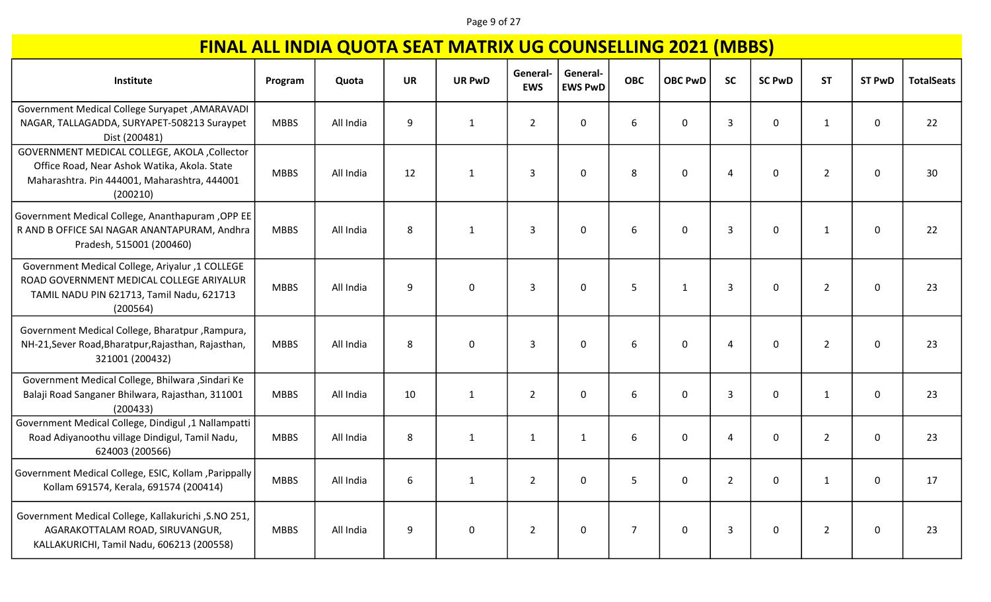#### Page 9 of 27

| Institute                                                                                                                                                 | Program     | Quota     | <b>UR</b> | <b>UR PwD</b> | General-<br><b>EWS</b> | General-<br><b>EWS PwD</b> | <b>OBC</b>     | <b>OBC PwD</b> | <b>SC</b>      | <b>SC PwD</b> | <b>ST</b>      | <b>ST PwD</b> | <b>TotalSeats</b> |
|-----------------------------------------------------------------------------------------------------------------------------------------------------------|-------------|-----------|-----------|---------------|------------------------|----------------------------|----------------|----------------|----------------|---------------|----------------|---------------|-------------------|
| Government Medical College Suryapet , AMARAVADI<br>NAGAR, TALLAGADDA, SURYAPET-508213 Suraypet<br>Dist (200481)                                           | <b>MBBS</b> | All India | 9         | $\mathbf{1}$  | $\overline{2}$         | 0                          | 6              | $\mathbf 0$    | $\overline{3}$ | 0             | $\mathbf{1}$   | 0             | 22                |
| GOVERNMENT MEDICAL COLLEGE, AKOLA , Collector<br>Office Road, Near Ashok Watika, Akola. State<br>Maharashtra. Pin 444001, Maharashtra, 444001<br>(200210) | <b>MBBS</b> | All India | 12        | $\mathbf{1}$  | $\overline{3}$         | 0                          | 8              | $\mathbf 0$    | $\overline{4}$ | 0             | $\overline{2}$ | 0             | 30                |
| Government Medical College, Ananthapuram, OPP EE<br>R AND B OFFICE SAI NAGAR ANANTAPURAM, Andhra<br>Pradesh, 515001 (200460)                              | <b>MBBS</b> | All India | 8         | $\mathbf{1}$  | 3                      | 0                          | 6              | $\mathbf 0$    | $\mathbf{3}$   | 0             | $\mathbf{1}$   | 0             | 22                |
| Government Medical College, Ariyalur ,1 COLLEGE<br>ROAD GOVERNMENT MEDICAL COLLEGE ARIYALUR<br>TAMIL NADU PIN 621713, Tamil Nadu, 621713<br>(200564)      | <b>MBBS</b> | All India | 9         | $\mathbf 0$   | 3                      | 0                          | 5              | $\mathbf{1}$   | 3              | 0             | $\overline{2}$ | $\mathbf{0}$  | 23                |
| Government Medical College, Bharatpur, Rampura,<br>NH-21, Sever Road, Bharatpur, Rajasthan, Rajasthan,<br>321001 (200432)                                 | <b>MBBS</b> | All India | 8         | $\mathbf 0$   | 3                      | 0                          | 6              | $\mathbf 0$    | 4              | 0             | $\overline{2}$ | $\mathbf 0$   | 23                |
| Government Medical College, Bhilwara , Sindari Ke<br>Balaji Road Sanganer Bhilwara, Rajasthan, 311001<br>(200433)                                         | <b>MBBS</b> | All India | 10        | $\mathbf{1}$  | $\overline{2}$         | $\mathbf 0$                | 6              | $\mathbf 0$    | $\overline{3}$ | 0             | 1              | $\mathbf 0$   | 23                |
| Government Medical College, Dindigul, 1 Nallampatti<br>Road Adiyanoothu village Dindigul, Tamil Nadu,<br>624003 (200566)                                  | <b>MBBS</b> | All India | 8         | $\mathbf{1}$  | $\mathbf{1}$           | $\mathbf{1}$               | 6              | $\mathbf{0}$   | 4              | 0             | $\overline{2}$ | $\Omega$      | 23                |
| Government Medical College, ESIC, Kollam , Parippally<br>Kollam 691574, Kerala, 691574 (200414)                                                           | <b>MBBS</b> | All India | 6         | $\mathbf{1}$  | $\overline{2}$         | $\mathbf{0}$               | 5              | $\Omega$       | $\overline{2}$ | 0             | 1              | $\Omega$      | 17                |
| Government Medical College, Kallakurichi , S.NO 251,<br>AGARAKOTTALAM ROAD, SIRUVANGUR,<br>KALLAKURICHI, Tamil Nadu, 606213 (200558)                      | <b>MBBS</b> | All India | 9         | $\mathbf 0$   | $\overline{2}$         | 0                          | $\overline{7}$ | $\mathbf 0$    | $\mathbf{3}$   | 0             | $\overline{2}$ | $\mathbf 0$   | 23                |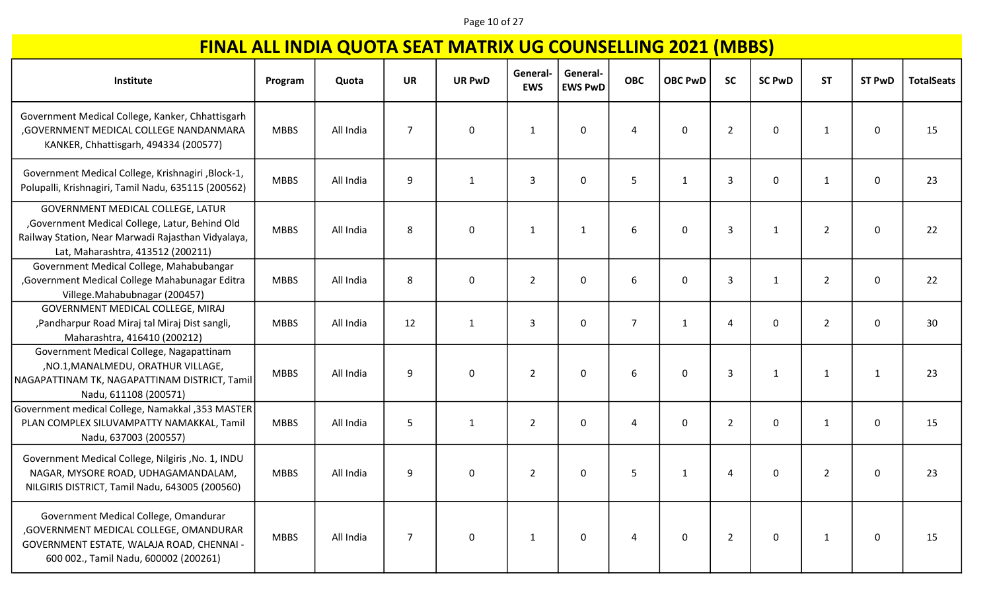### Page 10 of 27

| Institute                                                                                                                                                                       | Program     | Quota     | <b>UR</b>      | <b>UR PwD</b> | General-<br><b>EWS</b> | General-<br><b>EWS PwD</b> | <b>OBC</b>     | <b>OBC PwD</b> | <b>SC</b>      | <b>SC PwD</b> | <b>ST</b>      | <b>ST PwD</b> | <b>TotalSeats</b> |
|---------------------------------------------------------------------------------------------------------------------------------------------------------------------------------|-------------|-----------|----------------|---------------|------------------------|----------------------------|----------------|----------------|----------------|---------------|----------------|---------------|-------------------|
|                                                                                                                                                                                 |             |           |                |               |                        |                            |                |                |                |               |                |               |                   |
| Government Medical College, Kanker, Chhattisgarh<br>, GOVERNMENT MEDICAL COLLEGE NANDANMARA<br>KANKER, Chhattisgarh, 494334 (200577)                                            | <b>MBBS</b> | All India | $\overline{7}$ | $\mathbf 0$   | 1                      | $\mathbf{0}$               | 4              | 0              | $\overline{2}$ | 0             |                | 0             | 15                |
| Government Medical College, Krishnagiri , Block-1,<br>Polupalli, Krishnagiri, Tamil Nadu, 635115 (200562)                                                                       | <b>MBBS</b> | All India | 9              | $\mathbf{1}$  | 3                      | 0                          | 5              | 1              | 3              | 0             |                | 0             | 23                |
| GOVERNMENT MEDICAL COLLEGE, LATUR<br>, Government Medical College, Latur, Behind Old<br>Railway Station, Near Marwadi Rajasthan Vidyalaya,<br>Lat, Maharashtra, 413512 (200211) | <b>MBBS</b> | All India | 8              | 0             | 1                      | 1                          | 6              | 0              | 3              | 1             | $\overline{2}$ | 0             | 22                |
| Government Medical College, Mahabubangar<br>Government Medical College Mahabunagar Editra<br>Villege.Mahabubnagar (200457)                                                      | <b>MBBS</b> | All India | 8              | 0             | $\overline{2}$         | 0                          | 6              | 0              | $\overline{3}$ | 1             | 2              | 0             | 22                |
| GOVERNMENT MEDICAL COLLEGE, MIRAJ<br>,Pandharpur Road Miraj tal Miraj Dist sangli,<br>Maharashtra, 416410 (200212)                                                              | <b>MBBS</b> | All India | 12             | $\mathbf{1}$  | 3                      | 0                          | $\overline{7}$ | 1              | $\overline{a}$ | 0             | $\overline{2}$ | 0             | 30                |
| Government Medical College, Nagapattinam<br>, NO.1, MANALMEDU, ORATHUR VILLAGE,<br>NAGAPATTINAM TK, NAGAPATTINAM DISTRICT, Tamil<br>Nadu, 611108 (200571)                       | <b>MBBS</b> | All India | 9              | 0             | $\overline{2}$         | $\mathbf 0$                | 6              | $\mathbf 0$    | 3              | 1             | 1              | 1             | 23                |
| Government medical College, Namakkal , 353 MASTER<br>PLAN COMPLEX SILUVAMPATTY NAMAKKAL, Tamil<br>Nadu, 637003 (200557)                                                         | <b>MBBS</b> | All India | 5              | $\mathbf{1}$  | $\overline{2}$         | $\mathbf{0}$               | 4              | $\Omega$       | $\overline{2}$ | $\mathbf{0}$  | 1              | 0             | 15                |
| Government Medical College, Nilgiris, No. 1, INDU<br>NAGAR, MYSORE ROAD, UDHAGAMANDALAM,<br>NILGIRIS DISTRICT, Tamil Nadu, 643005 (200560)                                      | <b>MBBS</b> | All India | 9              | 0             | $\overline{2}$         | $\Omega$                   | 5              | $\mathbf{1}$   | 4              | 0             | $\overline{2}$ | 0             | 23                |
| Government Medical College, Omandurar<br>, GOVERNMENT MEDICAL COLLEGE, OMANDURAR<br>GOVERNMENT ESTATE, WALAJA ROAD, CHENNAI -<br>600 002., Tamil Nadu, 600002 (200261)          | <b>MBBS</b> | All India | $\overline{7}$ | 0             | 1                      | $\Omega$                   | 4              | 0              | $\overline{2}$ | 0             | 1              | 0             | 15                |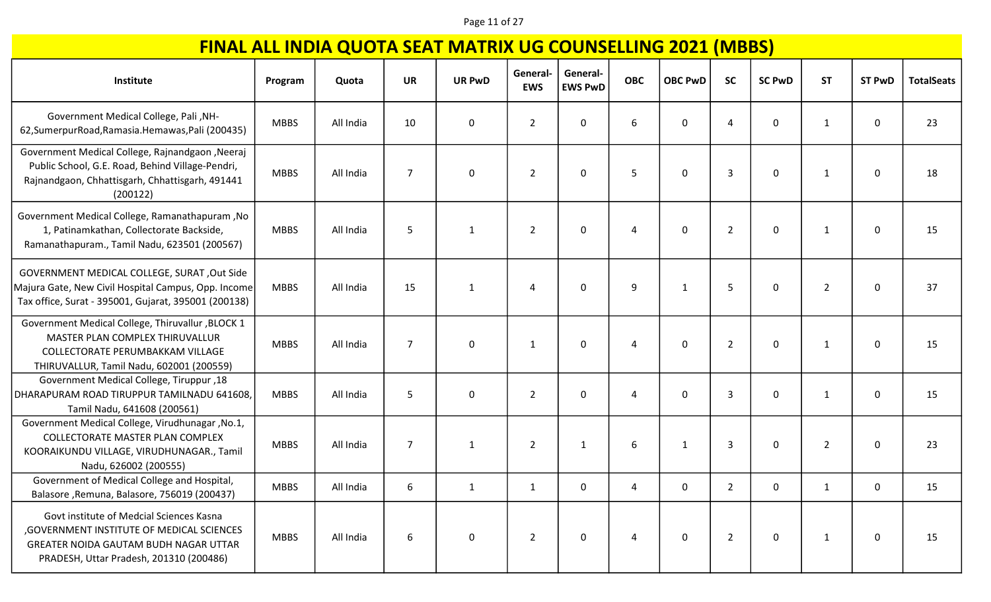### Page 11 of 27

| Institute                                                                                                                                                                  | Program     | Quota     | <b>UR</b>      | <b>UR PwD</b> | General-<br><b>EWS</b> | General-<br><b>EWS PwD</b> | <b>OBC</b> | <b>OBC PwD</b> | <b>SC</b>      | <b>SC PwD</b> | <b>ST</b>      | <b>ST PwD</b> | <b>TotalSeats</b> |
|----------------------------------------------------------------------------------------------------------------------------------------------------------------------------|-------------|-----------|----------------|---------------|------------------------|----------------------------|------------|----------------|----------------|---------------|----------------|---------------|-------------------|
| Government Medical College, Pali, NH-<br>62, Sumerpur Road, Ramasia. Hemawas, Pali (200435)                                                                                | <b>MBBS</b> | All India | 10             | $\mathbf 0$   | $\overline{2}$         | 0                          | 6          | 0              | 4              | 0             | 1              | 0             | 23                |
| Government Medical College, Rajnandgaon, Neeraj<br>Public School, G.E. Road, Behind Village-Pendri,<br>Rajnandgaon, Chhattisgarh, Chhattisgarh, 491441<br>(200122)         | <b>MBBS</b> | All India | $\overline{7}$ | $\mathbf 0$   | $\overline{2}$         | $\mathbf 0$                | 5          | $\mathbf{0}$   | $\overline{3}$ | 0             | 1              | 0             | 18                |
| Government Medical College, Ramanathapuram, No<br>1, Patinamkathan, Collectorate Backside,<br>Ramanathapuram., Tamil Nadu, 623501 (200567)                                 | <b>MBBS</b> | All India | 5              | $\mathbf{1}$  | $\overline{2}$         | 0                          | 4          | 0              | $\overline{2}$ | 0             | 1              | $\mathbf 0$   | 15                |
| GOVERNMENT MEDICAL COLLEGE, SURAT, Out Side<br>Majura Gate, New Civil Hospital Campus, Opp. Income<br>Tax office, Surat - 395001, Gujarat, 395001 (200138)                 | <b>MBBS</b> | All India | 15             | $\mathbf{1}$  | 4                      | 0                          | 9          | 1              | 5              | 0             | $\overline{2}$ | 0             | 37                |
| Government Medical College, Thiruvallur , BLOCK 1<br>MASTER PLAN COMPLEX THIRUVALLUR<br>COLLECTORATE PERUMBAKKAM VILLAGE<br>THIRUVALLUR, Tamil Nadu, 602001 (200559)       | <b>MBBS</b> | All India | $\overline{7}$ | 0             | 1                      | 0                          | $\Delta$   | 0              | $\overline{2}$ | 0             | $\mathbf{1}$   | 0             | 15                |
| <b>Government Medical College, Tiruppur, 18</b><br>DHARAPURAM ROAD TIRUPPUR TAMILNADU 641608,<br>Tamil Nadu, 641608 (200561)                                               | <b>MBBS</b> | All India | 5              | $\mathbf 0$   | $\overline{2}$         | 0                          | 4          | 0              | 3              | 0             | 1              | 0             | 15                |
| Government Medical College, Virudhunagar, No.1,<br>COLLECTORATE MASTER PLAN COMPLEX<br>KOORAIKUNDU VILLAGE, VIRUDHUNAGAR., Tamil<br>Nadu, 626002 (200555)                  | <b>MBBS</b> | All India | $\overline{7}$ | $\mathbf{1}$  | $\overline{2}$         | 1                          | 6          | 1              | $\overline{3}$ | 0             | $\overline{2}$ | 0             | 23                |
| Government of Medical College and Hospital,<br>Balasore, Remuna, Balasore, 756019 (200437)                                                                                 | <b>MBBS</b> | All India | 6              | $\mathbf{1}$  | $\mathbf{1}$           | 0                          | 4          | 0              | $\overline{2}$ | 0             | 1              | 0             | 15                |
| Govt institute of Medcial Sciences Kasna<br>, GOVERNMENT INSTITUTE OF MEDICAL SCIENCES<br>GREATER NOIDA GAUTAM BUDH NAGAR UTTAR<br>PRADESH, Uttar Pradesh, 201310 (200486) | <b>MBBS</b> | All India | 6              | $\mathbf 0$   | $\overline{2}$         | 0                          | 4          | 0              | $\overline{2}$ | 0             | 1              | $\mathbf 0$   | 15                |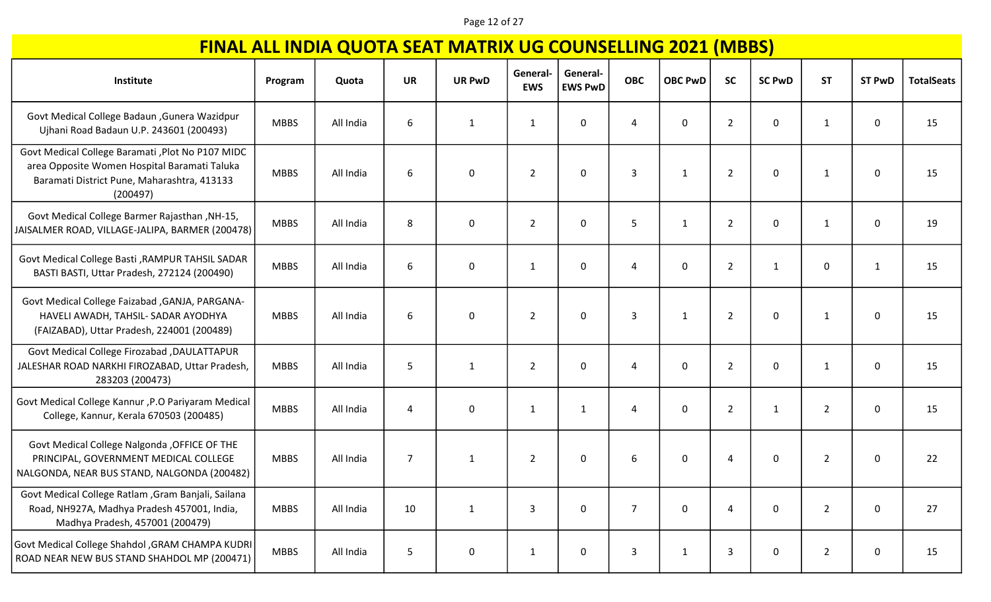### Page 12 of 27

| Institute                                                                                                                                                    | Program     | Quota     | <b>UR</b>      | <b>UR PwD</b> | General-       | General-       | <b>OBC</b>     | <b>OBC PwD</b> | <b>SC</b>      | <b>SC PwD</b> | <b>ST</b>      | <b>ST PwD</b> | <b>TotalSeats</b> |
|--------------------------------------------------------------------------------------------------------------------------------------------------------------|-------------|-----------|----------------|---------------|----------------|----------------|----------------|----------------|----------------|---------------|----------------|---------------|-------------------|
|                                                                                                                                                              |             |           |                |               | <b>EWS</b>     | <b>EWS PwD</b> |                |                |                |               |                |               |                   |
| Govt Medical College Badaun , Gunera Wazidpur<br>Ujhani Road Badaun U.P. 243601 (200493)                                                                     | <b>MBBS</b> | All India | 6              | $\mathbf{1}$  | $\mathbf{1}$   | $\mathbf 0$    | 4              | 0              | $\overline{2}$ | 0             | $\mathbf{1}$   | 0             | 15                |
| Govt Medical College Baramati , Plot No P107 MIDC<br>area Opposite Women Hospital Baramati Taluka<br>Baramati District Pune, Maharashtra, 413133<br>(200497) | <b>MBBS</b> | All India | 6              | 0             | $\overline{2}$ | $\mathbf 0$    | 3              | $\mathbf{1}$   | $\overline{2}$ | 0             | 1              | 0             | 15                |
| Govt Medical College Barmer Rajasthan, NH-15,<br>JAISALMER ROAD, VILLAGE-JALIPA, BARMER (200478)                                                             | <b>MBBS</b> | All India | 8              | $\pmb{0}$     | $\overline{2}$ | 0              | 5              | $\mathbf{1}$   | $\overline{2}$ | 0             | $\mathbf{1}$   | 0             | 19                |
| Govt Medical College Basti , RAMPUR TAHSIL SADAR<br>BASTI BASTI, Uttar Pradesh, 272124 (200490)                                                              | <b>MBBS</b> | All India | 6              | 0             | $\mathbf{1}$   | $\mathbf 0$    | 4              | 0              | $\overline{2}$ | 1             | 0              | 1             | 15                |
| Govt Medical College Faizabad , GANJA, PARGANA-<br>HAVELI AWADH, TAHSIL- SADAR AYODHYA<br>(FAIZABAD), Uttar Pradesh, 224001 (200489)                         | <b>MBBS</b> | All India | 6              | 0             | $\overline{2}$ | $\mathbf 0$    | 3              | 1              | $\overline{2}$ | 0             | 1              | 0             | 15                |
| <b>Govt Medical College Firozabad , DAULATTAPUR</b><br>JALESHAR ROAD NARKHI FIROZABAD, Uttar Pradesh,<br>283203 (200473)                                     | <b>MBBS</b> | All India | 5              | 1             | $\overline{2}$ | $\mathbf 0$    | 4              | 0              | $\overline{2}$ | 0             | 1              | 0             | 15                |
| Govt Medical College Kannur , P.O Pariyaram Medical<br>College, Kannur, Kerala 670503 (200485)                                                               | <b>MBBS</b> | All India | 4              | $\pmb{0}$     | $\mathbf{1}$   | 1              | 4              | $\mathbf{0}$   | $\overline{2}$ | $\mathbf{1}$  | $\overline{2}$ | 0             | 15                |
| Govt Medical College Nalgonda , OFFICE OF THE<br>PRINCIPAL, GOVERNMENT MEDICAL COLLEGE<br>NALGONDA, NEAR BUS STAND, NALGONDA (200482)                        | <b>MBBS</b> | All India | $\overline{7}$ | $\mathbf{1}$  | $\overline{2}$ | 0              | 6              | 0              | $\overline{4}$ | 0             | $\overline{2}$ | 0             | 22                |
| Govt Medical College Ratlam , Gram Banjali, Sailana<br>Road, NH927A, Madhya Pradesh 457001, India,<br>Madhya Pradesh, 457001 (200479)                        | <b>MBBS</b> | All India | 10             | $\mathbf{1}$  | 3              | $\mathbf 0$    | $\overline{7}$ | 0              | 4              | 0             | $\overline{2}$ | 0             | 27                |
| Govt Medical College Shahdol , GRAM CHAMPA KUDRI<br>ROAD NEAR NEW BUS STAND SHAHDOL MP (200471)                                                              | <b>MBBS</b> | All India | 5              | 0             | $\mathbf{1}$   | 0              | 3              | $\mathbf{1}$   | $\mathsf{3}$   | 0             | $\overline{2}$ | 0             | 15                |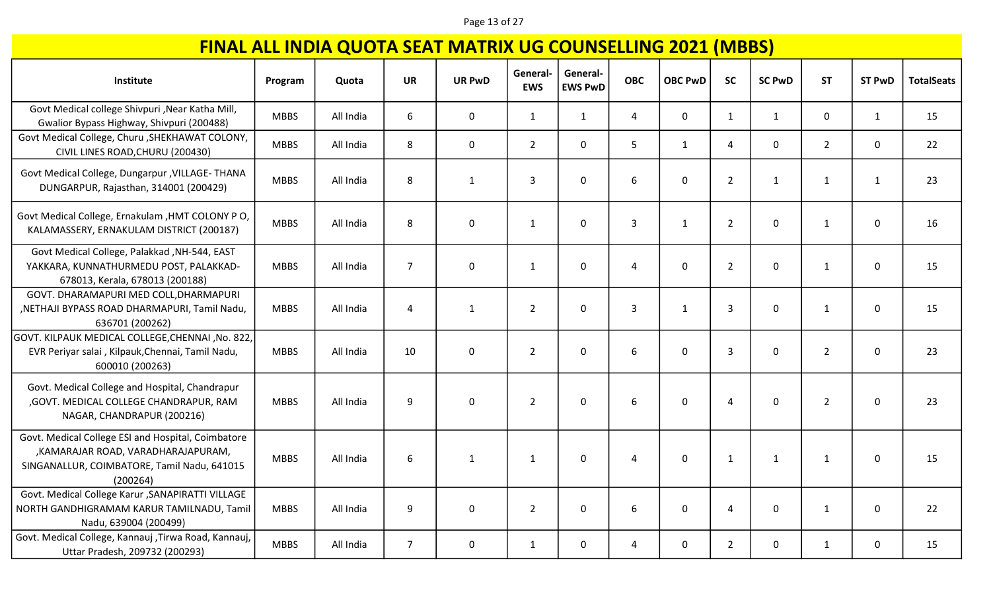### Page 13 of 27

| Institute                                                                                                                                           | Program     | Quota     | <b>UR</b>        | <b>UR PwD</b> | General-<br><b>EWS</b> | General-<br><b>EWS PwD</b> | <b>OBC</b>     | <b>OBC PwD</b> | <b>SC</b>      | <b>SC PwD</b> | <b>ST</b>      | <b>ST PwD</b> | <b>TotalSeats</b> |
|-----------------------------------------------------------------------------------------------------------------------------------------------------|-------------|-----------|------------------|---------------|------------------------|----------------------------|----------------|----------------|----------------|---------------|----------------|---------------|-------------------|
|                                                                                                                                                     |             |           |                  |               |                        |                            |                |                |                |               |                |               |                   |
| Govt Medical college Shivpuri , Near Katha Mill,<br>Gwalior Bypass Highway, Shivpuri (200488)                                                       | <b>MBBS</b> | All India | 6                | $\mathbf 0$   | $\mathbf{1}$           | $\mathbf{1}$               | $\overline{4}$ | $\mathbf 0$    | $\mathbf{1}$   | $\mathbf{1}$  | 0              | $\mathbf{1}$  | 15                |
| Govt Medical College, Churu , SHEKHAWAT COLONY,<br>CIVIL LINES ROAD, CHURU (200430)                                                                 | <b>MBBS</b> | All India | 8                | $\mathbf 0$   | $2^{\circ}$            | $\mathbf 0$                | 5              | $\mathbf{1}$   | $\overline{4}$ | 0             | $\overline{2}$ | $\mathbf 0$   | 22                |
| Govt Medical College, Dungarpur , VILLAGE- THANA<br>DUNGARPUR, Rajasthan, 314001 (200429)                                                           | <b>MBBS</b> | All India | 8                | $\mathbf{1}$  | $\overline{3}$         | 0                          | 6              | $\mathbf 0$    | $\overline{2}$ | $\mathbf{1}$  | $\mathbf{1}$   | 1             | 23                |
| Govt Medical College, Ernakulam , HMT COLONY PO,<br>KALAMASSERY, ERNAKULAM DISTRICT (200187)                                                        | <b>MBBS</b> | All India | 8                | $\mathbf 0$   | $\mathbf{1}$           | 0                          | $\mathbf{3}$   | $\mathbf{1}$   | $\overline{2}$ | 0             | $\mathbf{1}$   | $\mathbf 0$   | 16                |
| Govt Medical College, Palakkad, NH-544, EAST<br>YAKKARA, KUNNATHURMEDU POST, PALAKKAD-<br>678013, Kerala, 678013 (200188)                           | <b>MBBS</b> | All India | $\overline{7}$   | $\mathbf 0$   | $\mathbf{1}$           | $\mathbf 0$                | $\overline{4}$ | $\mathbf{0}$   | $\overline{2}$ | 0             | $\mathbf{1}$   | $\mathbf 0$   | 15                |
| GOVT. DHARAMAPURI MED COLL, DHARMAPURI<br>, NETHAJI BYPASS ROAD DHARMAPURI, Tamil Nadu,<br>636701 (200262)                                          | <b>MBBS</b> | All India | 4                | $\mathbf{1}$  | $\overline{2}$         | 0                          | $\mathbf{3}$   | $\mathbf{1}$   | 3              | 0             | $\mathbf{1}$   | $\mathbf 0$   | 15                |
| GOVT. KILPAUK MEDICAL COLLEGE, CHENNAI, No. 822,<br>EVR Periyar salai, Kilpauk, Chennai, Tamil Nadu,<br>600010 (200263)                             | <b>MBBS</b> | All India | 10               | $\mathbf 0$   | $\overline{2}$         | $\mathbf 0$                | 6              | $\mathbf 0$    | 3              | 0             | $\overline{2}$ | 0             | 23                |
| Govt. Medical College and Hospital, Chandrapur<br>, GOVT. MEDICAL COLLEGE CHANDRAPUR, RAM<br>NAGAR, CHANDRAPUR (200216)                             | <b>MBBS</b> | All India | 9                | $\pmb{0}$     | $\overline{2}$         | 0                          | 6              | $\mathbf 0$    | $\overline{4}$ | 0             | $\overline{2}$ | 0             | 23                |
| Govt. Medical College ESI and Hospital, Coimbatore<br>,KAMARAJAR ROAD, VARADHARAJAPURAM,<br>SINGANALLUR, COIMBATORE, Tamil Nadu, 641015<br>(200264) | <b>MBBS</b> | All India | $\boldsymbol{6}$ | $\mathbf{1}$  | $\mathbf{1}$           | 0                          | 4              | $\mathbf 0$    | $\mathbf{1}$   | $\mathbf{1}$  | $\mathbf{1}$   | $\mathbf 0$   | 15                |
| Govt. Medical College Karur , SANAPIRATTI VILLAGE<br>NORTH GANDHIGRAMAM KARUR TAMILNADU, Tamil<br>Nadu, 639004 (200499)                             | <b>MBBS</b> | All India | 9                | $\mathbf 0$   | $\overline{2}$         | 0                          | 6              | $\mathbf 0$    | 4              | 0             | $\mathbf{1}$   | $\mathbf 0$   | 22                |
| Govt. Medical College, Kannauj , Tirwa Road, Kannauj,<br>Uttar Pradesh, 209732 (200293)                                                             | <b>MBBS</b> | All India | $\overline{7}$   | $\mathbf 0$   | $\mathbf{1}$           | 0                          | 4              | $\mathbf 0$    | $\overline{2}$ | 0             | $\mathbf{1}$   | $\mathbf 0$   | 15                |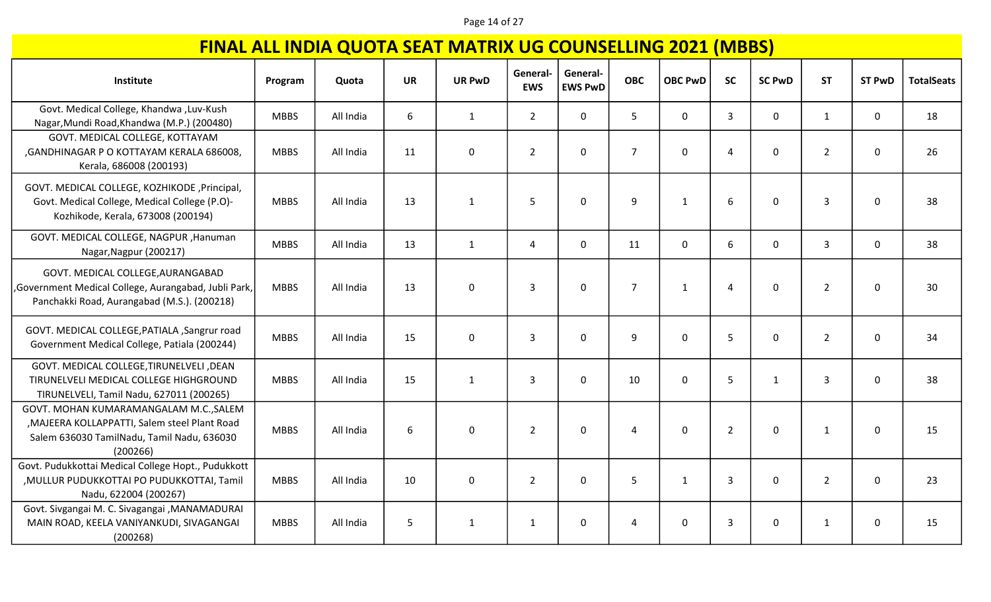### Page 14 of 27

| Institute                                                                                                                                         | Program     | Quota     | <b>UR</b> | <b>UR PwD</b> | General-<br><b>EWS</b> | General-<br><b>EWS PwD</b> | <b>OBC</b>     | <b>OBC PwD</b> | <b>SC</b>      | <b>SC PwD</b> | <b>ST</b>      | <b>ST PwD</b> | <b>TotalSeats</b> |
|---------------------------------------------------------------------------------------------------------------------------------------------------|-------------|-----------|-----------|---------------|------------------------|----------------------------|----------------|----------------|----------------|---------------|----------------|---------------|-------------------|
| Govt. Medical College, Khandwa, Luv-Kush<br>Nagar, Mundi Road, Khandwa (M.P.) (200480)                                                            | <b>MBBS</b> | All India | 6         | $\mathbf{1}$  | $\overline{2}$         | $\mathbf 0$                | 5 <sup>1</sup> | $\mathbf 0$    | $\overline{3}$ | 0             | $\mathbf{1}$   | $\mathbf 0$   | 18                |
| GOVT. MEDICAL COLLEGE, KOTTAYAM<br>, GANDHINAGAR P O KOTTAYAM KERALA 686008,<br>Kerala, 686008 (200193)                                           | <b>MBBS</b> | All India | 11        | $\mathbf 0$   | $\overline{2}$         | $\mathbf 0$                | $\overline{7}$ | $\mathbf 0$    | 4              | 0             | $\overline{2}$ | 0             | 26                |
| GOVT. MEDICAL COLLEGE, KOZHIKODE , Principal,<br>Govt. Medical College, Medical College (P.O)-<br>Kozhikode, Kerala, 673008 (200194)              | <b>MBBS</b> | All India | 13        | $\mathbf{1}$  | 5                      | $\mathbf 0$                | 9              | $\mathbf{1}$   | 6              | 0             | 3              | 0             | 38                |
| GOVT. MEDICAL COLLEGE, NAGPUR, Hanuman<br>Nagar, Nagpur (200217)                                                                                  | <b>MBBS</b> | All India | 13        | $\mathbf{1}$  | $\overline{4}$         | $\mathbf 0$                | 11             | $\mathbf 0$    | 6              | 0             | $\overline{3}$ | $\mathbf 0$   | 38                |
| GOVT. MEDICAL COLLEGE, AURANGABAD<br>, Government Medical College, Aurangabad, Jubli Park,<br>Panchakki Road, Aurangabad (M.S.). (200218)         | <b>MBBS</b> | All India | 13        | 0             | $\overline{3}$         | $\mathbf{0}$               | $\overline{7}$ | $\mathbf{1}$   | $\overline{4}$ | 0             | $\overline{2}$ | 0             | 30                |
| GOVT. MEDICAL COLLEGE, PATIALA , Sangrur road<br>Government Medical College, Patiala (200244)                                                     | <b>MBBS</b> | All India | 15        | $\mathbf 0$   | $\overline{3}$         | $\mathbf 0$                | 9              | $\Omega$       | 5              | 0             | $\overline{2}$ | $\mathbf 0$   | 34                |
| GOVT. MEDICAL COLLEGE, TIRUNELVELI, DEAN<br>TIRUNELVELI MEDICAL COLLEGE HIGHGROUND<br>TIRUNELVELI, Tamil Nadu, 627011 (200265)                    | <b>MBBS</b> | All India | 15        | $\mathbf 1$   | $\overline{3}$         | $\mathbf 0$                | 10             | $\mathbf 0$    | 5              | $\mathbf{1}$  | 3              | 0             | 38                |
| GOVT. MOHAN KUMARAMANGALAM M.C., SALEM<br>, MAJEERA KOLLAPPATTI, Salem steel Plant Road<br>Salem 636030 TamilNadu, Tamil Nadu, 636030<br>(200266) | <b>MBBS</b> | All India | 6         | $\mathbf 0$   | $\overline{2}$         | $\mathbf 0$                | 4              | $\mathbf 0$    | $\overline{2}$ | 0             | $\mathbf{1}$   | 0             | 15                |
| Govt. Pudukkottai Medical College Hopt., Pudukkott<br>, MULLUR PUDUKKOTTAI PO PUDUKKOTTAI, Tamil<br>Nadu, 622004 (200267)                         | <b>MBBS</b> | All India | 10        | $\mathbf 0$   | $\overline{2}$         | $\mathbf 0$                | 5              | $\mathbf{1}$   | $\overline{3}$ | 0             | $\overline{2}$ | $\mathbf 0$   | 23                |
| Govt. Sivgangai M. C. Sivagangai , MANAMADURAI<br>MAIN ROAD, KEELA VANIYANKUDI, SIVAGANGAI<br>(200268)                                            | <b>MBBS</b> | All India | 5         | $\mathbf{1}$  | $\mathbf{1}$           | $\mathbf 0$                | 4              | $\mathbf{0}$   | 3              | 0             | $\mathbf{1}$   | 0             | 15                |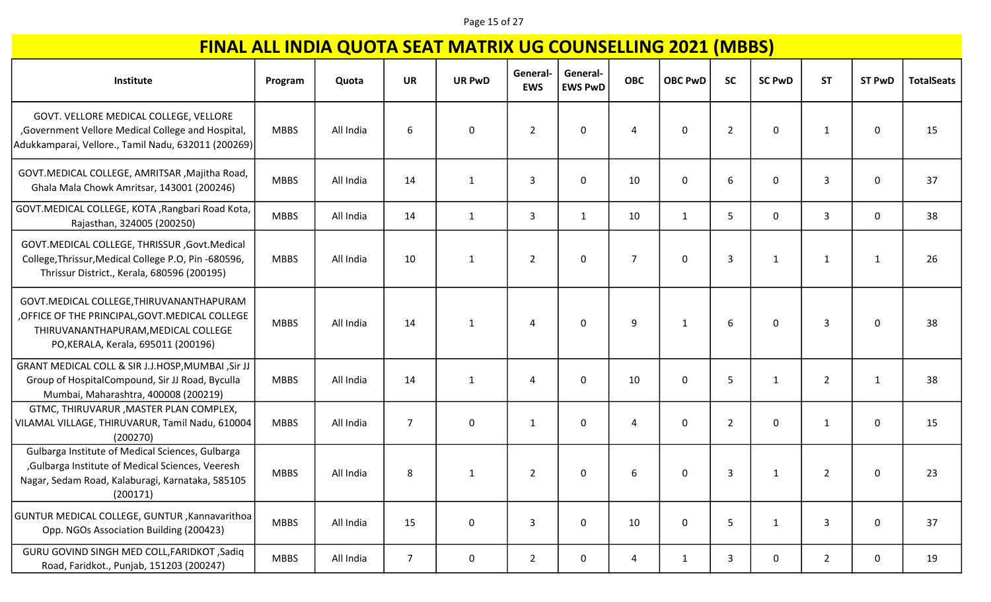### Page 15 of 27

| Institute                                                                                                                                                                | Program     | Quota     | <b>UR</b>      | <b>UR PwD</b> | General-<br><b>EWS</b> | General-<br><b>EWS PwD</b> | <b>OBC</b>     | <b>OBC PwD</b> | <b>SC</b>      | <b>SC PwD</b> | <b>ST</b>      | <b>ST PwD</b> | <b>TotalSeats</b> |
|--------------------------------------------------------------------------------------------------------------------------------------------------------------------------|-------------|-----------|----------------|---------------|------------------------|----------------------------|----------------|----------------|----------------|---------------|----------------|---------------|-------------------|
| GOVT. VELLORE MEDICAL COLLEGE, VELLORE<br>,Government Vellore Medical College and Hospital,<br>Adukkamparai, Vellore., Tamil Nadu, 632011 (200269)                       | <b>MBBS</b> | All India | 6              | $\mathbf 0$   | $\overline{2}$         | 0                          | $\overline{A}$ | $\mathbf 0$    | $\overline{2}$ | $\mathbf 0$   | 1              | 0             | 15                |
| GOVT. MEDICAL COLLEGE, AMRITSAR, Majitha Road,<br>Ghala Mala Chowk Amritsar, 143001 (200246)                                                                             | <b>MBBS</b> | All India | 14             | $\mathbf{1}$  | 3                      | 0                          | 10             | 0              | 6              | 0             | 3              | 0             | 37                |
| GOVT.MEDICAL COLLEGE, KOTA, Rangbari Road Kota,<br>Rajasthan, 324005 (200250)                                                                                            | <b>MBBS</b> | All India | 14             | $\mathbf{1}$  | 3                      | 1                          | 10             | $\mathbf{1}$   | 5              | $\mathsf{O}$  | 3              | 0             | 38                |
| GOVT.MEDICAL COLLEGE, THRISSUR , Govt.Medical<br>College, Thrissur, Medical College P.O, Pin -680596,<br>Thrissur District., Kerala, 680596 (200195)                     | <b>MBBS</b> | All India | 10             | $\mathbf{1}$  | $\overline{2}$         | $\mathbf{0}$               | $\overline{7}$ | $\mathbf 0$    | $\mathbf{3}$   | 1             | 1              | 1             | 26                |
| GOVT.MEDICAL COLLEGE, THIRUVANANTHAPURAM<br>OFFICE OF THE PRINCIPAL, GOVT. MEDICAL COLLEGE<br>THIRUVANANTHAPURAM, MEDICAL COLLEGE<br>PO, KERALA, Kerala, 695011 (200196) | <b>MBBS</b> | All India | 14             | $\mathbf{1}$  | 4                      | 0                          | 9              | $\mathbf{1}$   | 6              | 0             | 3              | 0             | 38                |
| GRANT MEDICAL COLL & SIR J.J.HOSP, MUMBAI, Sir JJ<br>Group of HospitalCompound, Sir JJ Road, Byculla<br>Mumbai, Maharashtra, 400008 (200219)                             | <b>MBBS</b> | All India | 14             | 1             | 4                      | $\mathbf{0}$               | 10             | $\mathbf 0$    | 5              | $\mathbf{1}$  | $\overline{2}$ | 1             | 38                |
| GTMC, THIRUVARUR, MASTER PLAN COMPLEX,<br>VILAMAL VILLAGE, THIRUVARUR, Tamil Nadu, 610004<br>(200270)                                                                    | <b>MBBS</b> | All India | $\overline{7}$ | $\mathbf 0$   | 1                      | 0                          | 4              | $\mathbf{0}$   | $\overline{2}$ | 0             | $\mathbf{1}$   | 0             | 15                |
| Gulbarga Institute of Medical Sciences, Gulbarga<br>, Gulbarga Institute of Medical Sciences, Veeresh<br>Nagar, Sedam Road, Kalaburagi, Karnataka, 585105<br>(200171)    | <b>MBBS</b> | All India | $\,8\,$        | $\mathbf{1}$  | $\overline{2}$         | $\mathbf{0}$               | 6              | $\mathbf 0$    | 3              | $\mathbf{1}$  | $\overline{2}$ | 0             | 23                |
| <b>GUNTUR MEDICAL COLLEGE, GUNTUR, Kannavarithoa</b><br>Opp. NGOs Association Building (200423)                                                                          | <b>MBBS</b> | All India | 15             | $\mathbf 0$   | 3                      | $\mathbf 0$                | 10             | $\mathbf 0$    | 5              | $\mathbf{1}$  | 3              | 0             | 37                |
| GURU GOVIND SINGH MED COLL, FARIDKOT, Sadiq<br>Road, Faridkot., Punjab, 151203 (200247)                                                                                  | <b>MBBS</b> | All India | $\overline{7}$ | $\mathbf 0$   | $\overline{2}$         | 0                          | 4              | $\mathbf{1}$   | 3              | 0             | $\overline{2}$ | $\mathbf 0$   | 19                |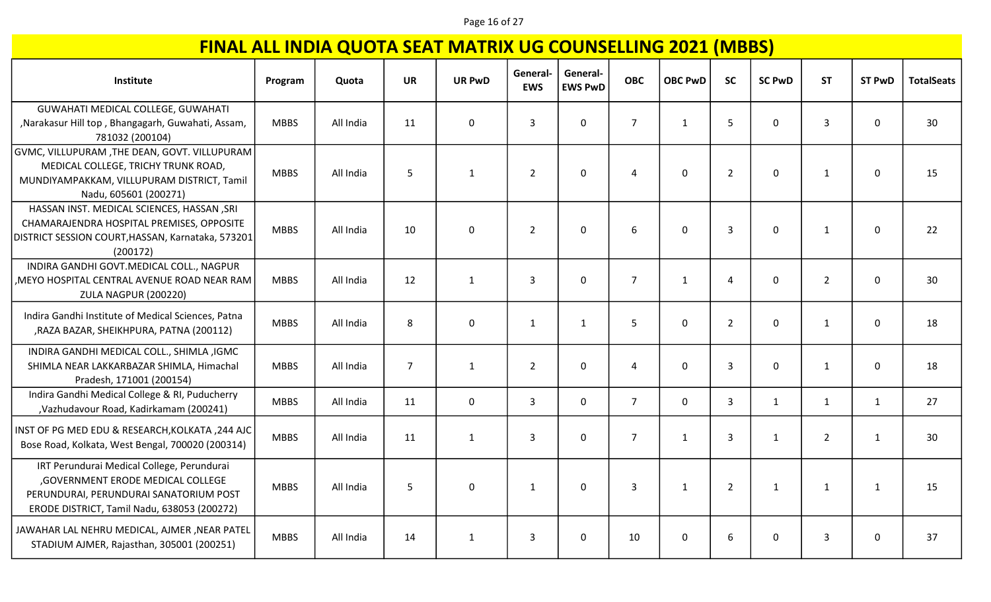#### Page 16 of 27

| Institute                                                                                                                                                                 | Program     | Quota     | <b>UR</b>      | <b>UR PwD</b> | General-<br><b>EWS</b> | General-<br><b>EWS PwD</b> | <b>OBC</b>     | <b>OBC PwD</b> | <b>SC</b>      | <b>SC PwD</b> | <b>ST</b>      | <b>ST PwD</b> | <b>TotalSeats</b> |
|---------------------------------------------------------------------------------------------------------------------------------------------------------------------------|-------------|-----------|----------------|---------------|------------------------|----------------------------|----------------|----------------|----------------|---------------|----------------|---------------|-------------------|
| GUWAHATI MEDICAL COLLEGE, GUWAHATI<br>, Narakasur Hill top, Bhangagarh, Guwahati, Assam,<br>781032 (200104)                                                               | <b>MBBS</b> | All India | 11             | $\mathbf 0$   | 3                      | $\mathbf 0$                | $\overline{7}$ | $\mathbf{1}$   | 5              | 0             | 3              | 0             | 30                |
| GVMC, VILLUPURAM ,THE DEAN, GOVT. VILLUPURAM<br>MEDICAL COLLEGE, TRICHY TRUNK ROAD,<br>MUNDIYAMPAKKAM, VILLUPURAM DISTRICT, Tamil<br>Nadu, 605601 (200271)                | <b>MBBS</b> | All India | 5              | $\mathbf{1}$  | $\overline{2}$         | $\mathbf 0$                | 4              | $\mathbf 0$    | $\overline{2}$ | 0             | $\mathbf{1}$   | $\mathbf{0}$  | 15                |
| HASSAN INST. MEDICAL SCIENCES, HASSAN , SRI<br>CHAMARAJENDRA HOSPITAL PREMISES, OPPOSITE<br>DISTRICT SESSION COURT, HASSAN, Karnataka, 573201<br>(200172)                 | <b>MBBS</b> | All India | 10             | $\mathbf 0$   | $\overline{2}$         | 0                          | 6              | $\mathbf 0$    | $\mathbf{3}$   | $\mathbf 0$   | $\mathbf{1}$   | 0             | 22                |
| INDIRA GANDHI GOVT.MEDICAL COLL., NAGPUR<br>, MEYO HOSPITAL CENTRAL AVENUE ROAD NEAR RAM<br><b>ZULA NAGPUR (200220)</b>                                                   | <b>MBBS</b> | All India | 12             | $\mathbf{1}$  | 3                      | $\mathbf 0$                | $\overline{7}$ | $\mathbf{1}$   | $\overline{4}$ | 0             | $\overline{2}$ | 0             | 30                |
| Indira Gandhi Institute of Medical Sciences, Patna<br>, RAZA BAZAR, SHEIKHPURA, PATNA (200112)                                                                            | <b>MBBS</b> | All India | 8              | $\mathbf 0$   | 1                      | $\mathbf{1}$               | 5 <sup>5</sup> | $\mathbf 0$    | $\overline{2}$ | $\mathbf 0$   | $\mathbf{1}$   | 0             | 18                |
| INDIRA GANDHI MEDICAL COLL., SHIMLA ,IGMC<br>SHIMLA NEAR LAKKARBAZAR SHIMLA, Himachal<br>Pradesh, 171001 (200154)                                                         | <b>MBBS</b> | All India | $\overline{7}$ | $\mathbf{1}$  | $\overline{2}$         | $\mathbf{0}$               | 4              | $\mathbf 0$    | 3              | 0             | $\mathbf{1}$   | 0             | 18                |
| Indira Gandhi Medical College & RI, Puducherry<br>,Vazhudavour Road, Kadirkamam (200241)                                                                                  | <b>MBBS</b> | All India | 11             | $\mathbf 0$   | $\overline{3}$         | $\mathbf 0$                | $\overline{7}$ | $\mathbf 0$    | $\overline{3}$ | $\mathbf{1}$  | $\mathbf{1}$   | $\mathbf{1}$  | 27                |
| INST OF PG MED EDU & RESEARCH, KOLKATA, 244 AJC<br>Bose Road, Kolkata, West Bengal, 700020 (200314)                                                                       | <b>MBBS</b> | All India | 11             | $\mathbf{1}$  | 3                      | $\Omega$                   | $\overline{7}$ | $\mathbf{1}$   | 3              | $\mathbf{1}$  | $\overline{2}$ | $\mathbf{1}$  | 30                |
| IRT Perundurai Medical College, Perundurai<br>, GOVERNMENT ERODE MEDICAL COLLEGE<br>PERUNDURAI, PERUNDURAI SANATORIUM POST<br>ERODE DISTRICT, Tamil Nadu, 638053 (200272) | <b>MBBS</b> | All India | 5              | $\mathbf 0$   | $\mathbf{1}$           | $\mathbf 0$                | 3              | $\mathbf{1}$   | $\overline{2}$ | $\mathbf{1}$  | $\mathbf{1}$   | $\mathbf{1}$  | 15                |
| JAWAHAR LAL NEHRU MEDICAL, AJMER, NEAR PATEL<br>STADIUM AJMER, Rajasthan, 305001 (200251)                                                                                 | <b>MBBS</b> | All India | 14             | $\mathbf{1}$  | 3                      | $\mathbf 0$                | 10             | $\mathbf 0$    | 6              | 0             | 3              | 0             | 37                |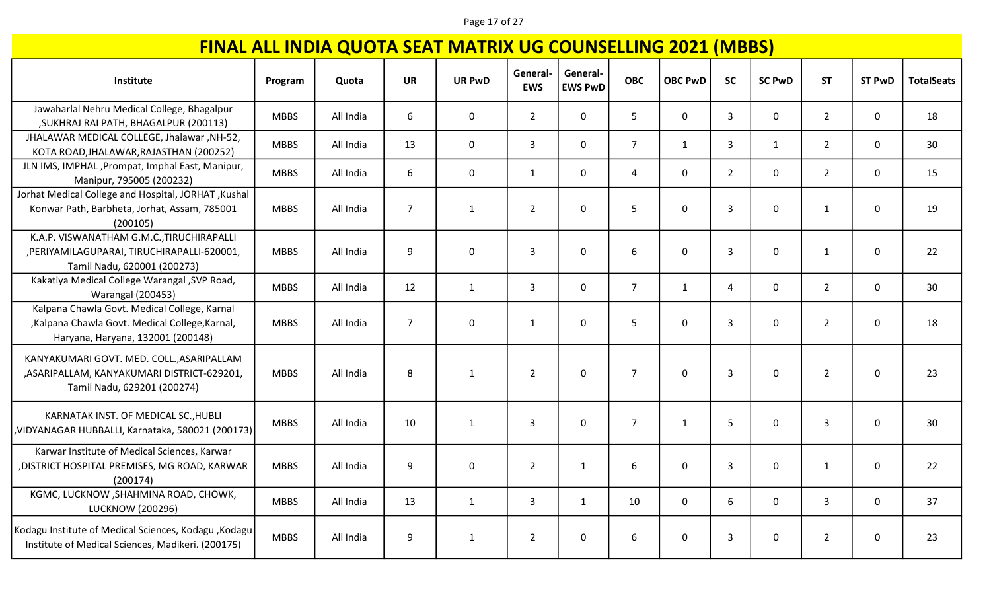#### Page 17 of 27

| Institute                                                                                                                          | Program     | Quota     | <b>UR</b>      | <b>UR PwD</b> | General-<br><b>EWS</b> | General-<br><b>EWS PwD</b> | <b>OBC</b>     | <b>OBC PwD</b> | <b>SC</b>      | <b>SC PwD</b> | <b>ST</b>      | <b>ST PwD</b> | <b>TotalSeats</b> |
|------------------------------------------------------------------------------------------------------------------------------------|-------------|-----------|----------------|---------------|------------------------|----------------------------|----------------|----------------|----------------|---------------|----------------|---------------|-------------------|
| Jawaharlal Nehru Medical College, Bhagalpur<br>, SUKHRAJ RAI PATH, BHAGALPUR (200113)                                              | <b>MBBS</b> | All India | 6              | $\mathbf 0$   | $2^{\circ}$            | $\mathsf{O}$               | 5              | $\mathbf 0$    | 3              | 0             | $2^{\circ}$    | $\mathbf 0$   | 18                |
| JHALAWAR MEDICAL COLLEGE, Jhalawar, NH-52,<br>KOTA ROAD, JHALAWAR, RAJASTHAN (200252)                                              | <b>MBBS</b> | All India | 13             | $\mathbf 0$   | $\overline{3}$         | $\Omega$                   | $\overline{7}$ | $\mathbf{1}$   | $\overline{3}$ | $\mathbf{1}$  | $2^{\circ}$    | $\mathbf 0$   | 30                |
| JLN IMS, IMPHAL, Prompat, Imphal East, Manipur,<br>Manipur, 795005 (200232)                                                        | <b>MBBS</b> | All India | 6              | $\mathbf 0$   | $\mathbf{1}$           | $\mathbf 0$                | $\overline{4}$ | $\mathbf 0$    | $\overline{2}$ | 0             | $\overline{2}$ | $\mathbf 0$   | 15                |
| Jorhat Medical College and Hospital, JORHAT, Kushal<br>Konwar Path, Barbheta, Jorhat, Assam, 785001<br>(200105)                    | <b>MBBS</b> | All India | $\overline{7}$ | $\mathbf{1}$  | $\overline{2}$         | 0                          | 5              | $\mathbf 0$    | 3              | 0             | $\mathbf{1}$   | 0             | 19                |
| K.A.P. VISWANATHAM G.M.C., TIRUCHIRAPALLI<br>, PERIYAMILAGUPARAI, TIRUCHIRAPALLI-620001,<br>Tamil Nadu, 620001 (200273)            | <b>MBBS</b> | All India | 9              | $\mathbf 0$   | 3                      | 0                          | 6              | $\mathbf 0$    | $\overline{3}$ | 0             | $\mathbf{1}$   | $\mathbf 0$   | 22                |
| Kakatiya Medical College Warangal , SVP Road,<br><b>Warangal (200453)</b>                                                          | <b>MBBS</b> | All India | 12             | $\mathbf{1}$  | 3                      | $\mathbf 0$                | $\overline{7}$ | $\mathbf{1}$   | $\overline{4}$ | 0             | $\overline{2}$ | $\mathbf 0$   | 30                |
| Kalpana Chawla Govt. Medical College, Karnal<br>,Kalpana Chawla Govt. Medical College,Karnal,<br>Haryana, Haryana, 132001 (200148) | <b>MBBS</b> | All India | $\overline{7}$ | $\mathbf 0$   | $\mathbf{1}$           | 0                          | 5              | $\mathbf 0$    | 3              | 0             | $\overline{2}$ | 0             | 18                |
| KANYAKUMARI GOVT. MED. COLL., ASARIPALLAM<br>, ASARIPALLAM, KANYAKUMARI DISTRICT-629201,<br>Tamil Nadu, 629201 (200274)            | <b>MBBS</b> | All India | 8              | $\mathbf{1}$  | $\overline{2}$         | 0                          | $\overline{7}$ | $\mathbf 0$    | $\overline{3}$ | 0             | $\overline{2}$ | $\mathbf 0$   | 23                |
| KARNATAK INST. OF MEDICAL SC., HUBLI<br>VIDYANAGAR HUBBALLI, Karnataka, 580021 (200173)                                            | <b>MBBS</b> | All India | 10             | $\mathbf{1}$  | 3                      | $\mathbf 0$                | $\overline{7}$ | $\mathbf{1}$   | 5              | 0             | 3              | 0             | 30                |
| Karwar Institute of Medical Sciences, Karwar<br>, DISTRICT HOSPITAL PREMISES, MG ROAD, KARWAR<br>(200174)                          | <b>MBBS</b> | All India | 9              | $\mathbf 0$   | $\overline{2}$         | 1                          | 6              | $\mathbf 0$    | 3              | 0             | $\mathbf{1}$   | $\mathbf 0$   | 22                |
| KGMC, LUCKNOW, SHAHMINA ROAD, CHOWK,<br><b>LUCKNOW (200296)</b>                                                                    | <b>MBBS</b> | All India | 13             | 1             | 3                      | 1                          | 10             | $\mathbf 0$    | 6              | 0             | 3              | $\mathbf 0$   | 37                |
| Kodagu Institute of Medical Sciences, Kodagu , Kodagu<br>Institute of Medical Sciences, Madikeri. (200175)                         | <b>MBBS</b> | All India | 9              | $\mathbf{1}$  | $\overline{2}$         | 0                          | 6              | $\mathbf 0$    | 3              | 0             | $\overline{2}$ | $\mathbf 0$   | 23                |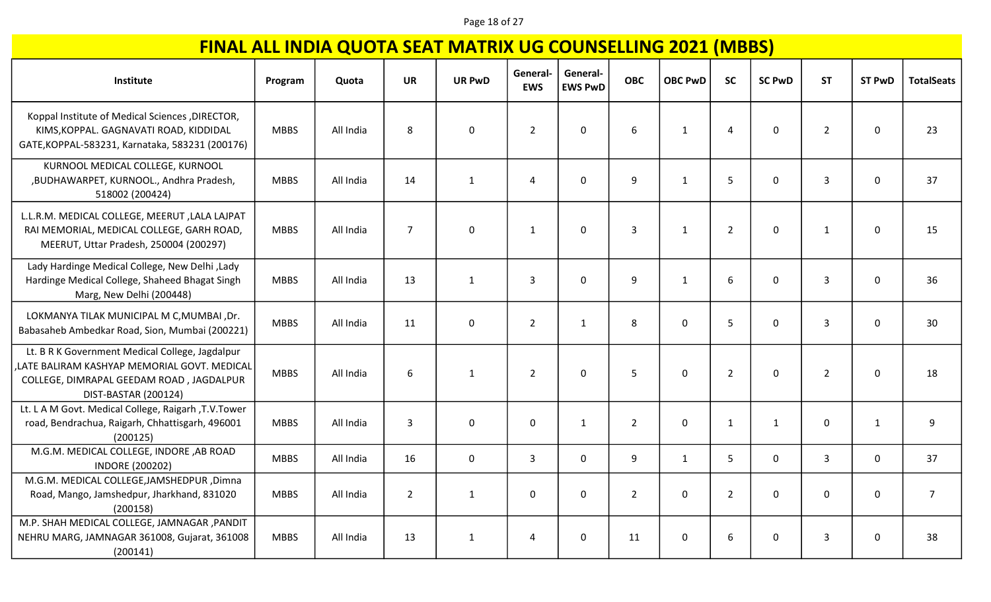### Page 18 of 27

| Institute                                                                                                                                                          | Program     | Quota     | <b>UR</b>      | <b>UR PwD</b> | General<br><b>EWS</b> | General-<br><b>EWS PwD</b> | <b>OBC</b>     | <b>OBC PwD</b> | <b>SC</b>      | <b>SC PwD</b> | <b>ST</b>      | <b>ST PwD</b> | <b>TotalSeats</b> |
|--------------------------------------------------------------------------------------------------------------------------------------------------------------------|-------------|-----------|----------------|---------------|-----------------------|----------------------------|----------------|----------------|----------------|---------------|----------------|---------------|-------------------|
| Koppal Institute of Medical Sciences , DIRECTOR,<br>KIMS, KOPPAL. GAGNAVATI ROAD, KIDDIDAL<br>GATE, KOPPAL-583231, Karnataka, 583231 (200176)                      | <b>MBBS</b> | All India | 8              | $\mathbf 0$   | $\overline{2}$        | $\mathbf 0$                | 6              | 1              | $\overline{4}$ | 0             | $\overline{2}$ | $\mathbf 0$   | 23                |
| KURNOOL MEDICAL COLLEGE, KURNOOL<br>,BUDHAWARPET, KURNOOL., Andhra Pradesh,<br>518002 (200424)                                                                     | <b>MBBS</b> | All India | 14             | $\mathbf{1}$  | 4                     | $\Omega$                   | 9              | $\mathbf{1}$   | 5              | 0             | 3              | $\mathbf 0$   | 37                |
| L.L.R.M. MEDICAL COLLEGE, MEERUT , LALA LAJPAT<br>RAI MEMORIAL, MEDICAL COLLEGE, GARH ROAD,<br>MEERUT, Uttar Pradesh, 250004 (200297)                              | <b>MBBS</b> | All India | $\overline{7}$ | $\pmb{0}$     | $\mathbf{1}$          | $\mathbf 0$                | $\overline{3}$ | $\mathbf{1}$   | $\overline{2}$ | 0             | $\mathbf{1}$   | $\mathbf 0$   | 15                |
| Lady Hardinge Medical College, New Delhi, Lady<br>Hardinge Medical College, Shaheed Bhagat Singh<br>Marg, New Delhi (200448)                                       | <b>MBBS</b> | All India | 13             | $\mathbf{1}$  | $\mathbf{3}$          | $\mathbf 0$                | 9              | $\mathbf{1}$   | 6              | 0             | 3              | 0             | 36                |
| LOKMANYA TILAK MUNICIPAL M C, MUMBAI, Dr.<br>Babasaheb Ambedkar Road, Sion, Mumbai (200221)                                                                        | <b>MBBS</b> | All India | 11             | $\mathsf 0$   | $\overline{2}$        | $\mathbf{1}$               | 8              | $\mathbf 0$    | 5              | 0             | 3              | 0             | 30                |
| Lt. B R K Government Medical College, Jagdalpur<br>LATE BALIRAM KASHYAP MEMORIAL GOVT. MEDICAL<br>COLLEGE, DIMRAPAL GEEDAM ROAD, JAGDALPUR<br>DIST-BASTAR (200124) | <b>MBBS</b> | All India | 6              | $\mathbf{1}$  | $\overline{2}$        | $\mathbf 0$                | 5              | $\mathbf 0$    | $\overline{2}$ | 0             | $\overline{2}$ | 0             | 18                |
| Lt. L A M Govt. Medical College, Raigarh, T.V.Tower<br>road, Bendrachua, Raigarh, Chhattisgarh, 496001<br>(200125)                                                 | <b>MBBS</b> | All India | $\mathbf{3}$   | $\pmb{0}$     | $\mathbf 0$           | 1                          | $\overline{2}$ | $\mathbf 0$    | $\mathbf{1}$   | $\mathbf{1}$  | 0              | $\mathbf{1}$  | 9                 |
| M.G.M. MEDICAL COLLEGE, INDORE ,AB ROAD<br><b>INDORE (200202)</b>                                                                                                  | <b>MBBS</b> | All India | 16             | $\mathbf 0$   | $\mathbf{3}$          | $\mathbf 0$                | 9              | $\mathbf{1}$   | $5\phantom{.}$ | 0             | 3              | $\mathbf 0$   | 37                |
| M.G.M. MEDICAL COLLEGE, JAMSHEDPUR, Dimna<br>Road, Mango, Jamshedpur, Jharkhand, 831020<br>(200158)                                                                | <b>MBBS</b> | All India | $\overline{2}$ | $\mathbf{1}$  | $\Omega$              | $\Omega$                   | $\overline{2}$ | $\Omega$       | $\overline{2}$ | 0             | 0              | 0             | $\overline{7}$    |
| M.P. SHAH MEDICAL COLLEGE, JAMNAGAR, PANDIT<br>NEHRU MARG, JAMNAGAR 361008, Gujarat, 361008<br>(200141)                                                            | <b>MBBS</b> | All India | 13             | $\mathbf{1}$  | 4                     | 0                          | 11             | 0              | 6              | 0             | 3              | 0             | 38                |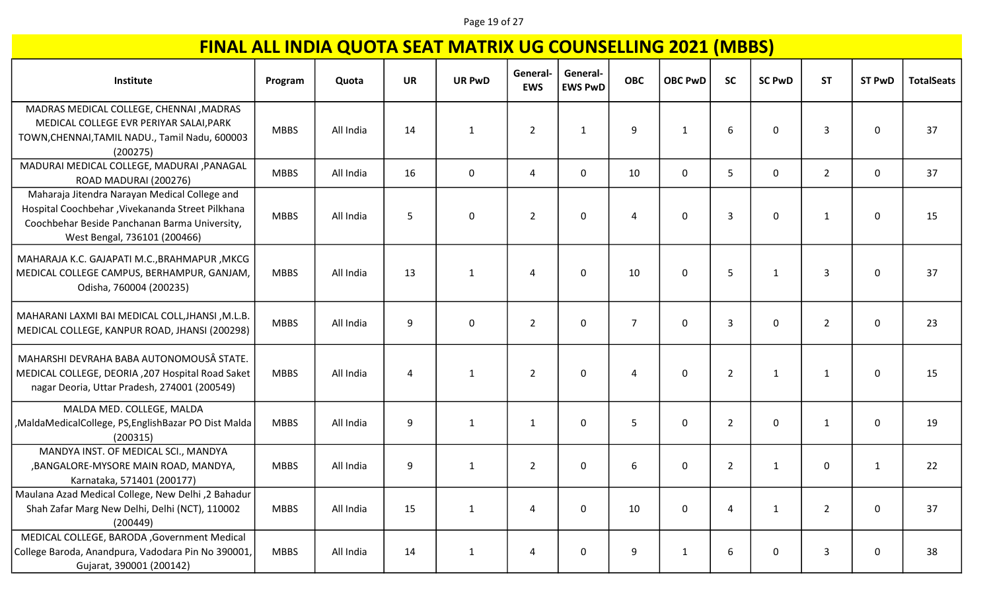### Page 19 of 27

| Institute                                                                                                                                                                           | Program     | Quota     | <b>UR</b> | <b>UR PwD</b>    | General<br><b>EWS</b> | General-<br><b>EWS PwD</b> | <b>OBC</b>     | <b>OBC PwD</b> | <b>SC</b>      | <b>SC PwD</b> | <b>ST</b>      | <b>ST PwD</b> | <b>TotalSeats</b> |
|-------------------------------------------------------------------------------------------------------------------------------------------------------------------------------------|-------------|-----------|-----------|------------------|-----------------------|----------------------------|----------------|----------------|----------------|---------------|----------------|---------------|-------------------|
| MADRAS MEDICAL COLLEGE, CHENNAI , MADRAS<br>MEDICAL COLLEGE EVR PERIYAR SALAI, PARK<br>TOWN, CHENNAI, TAMIL NADU., Tamil Nadu, 600003<br>(200275)                                   | <b>MBBS</b> | All India | 14        | 1                | $\overline{2}$        | 1                          | 9              | 1              | 6              | 0             | 3              | 0             | 37                |
| MADURAI MEDICAL COLLEGE, MADURAI , PANAGAL<br>ROAD MADURAI (200276)                                                                                                                 | <b>MBBS</b> | All India | 16        | $\mathbf 0$      | 4                     | $\mathbf 0$                | 10             | $\mathbf 0$    | 5              | 0             | $\overline{2}$ | 0             | 37                |
| Maharaja Jitendra Narayan Medical College and<br>Hospital Coochbehar , Vivekananda Street Pilkhana<br>Coochbehar Beside Panchanan Barma University,<br>West Bengal, 736101 (200466) | <b>MBBS</b> | All India | 5         | $\boldsymbol{0}$ | $\overline{2}$        | 0                          | 4              | 0              | 3              | 0             | 1              | 0             | 15                |
| MAHARAJA K.C. GAJAPATI M.C., BRAHMAPUR, MKCG<br>MEDICAL COLLEGE CAMPUS, BERHAMPUR, GANJAM,<br>Odisha, 760004 (200235)                                                               | <b>MBBS</b> | All India | 13        | 1                | 4                     | $\Omega$                   | 10             | $\mathbf{0}$   | 5              | 1             | 3              | 0             | 37                |
| MAHARANI LAXMI BAI MEDICAL COLL, JHANSI, M.L.B.<br>MEDICAL COLLEGE, KANPUR ROAD, JHANSI (200298)                                                                                    | <b>MBBS</b> | All India | 9         | $\mathbf 0$      | $\overline{2}$        | 0                          | $\overline{7}$ | 0              | 3              | 0             | $\overline{2}$ | 0             | 23                |
| MAHARSHI DEVRAHA BABA AUTONOMOUSÂ STATE.<br>MEDICAL COLLEGE, DEORIA , 207 Hospital Road Saket<br>nagar Deoria, Uttar Pradesh, 274001 (200549)                                       | <b>MBBS</b> | All India | 4         | 1                | $\overline{2}$        | $\mathbf 0$                | 4              | $\mathbf{0}$   | $\overline{2}$ | 1             | 1              | 0             | 15                |
| MALDA MED. COLLEGE, MALDA<br>,MaldaMedicalCollege, PS,EnglishBazar PO Dist Malda<br>(200315)                                                                                        | <b>MBBS</b> | All India | 9         | 1                | 1                     | $\mathbf{0}$               | 5              | $\mathbf{0}$   | $\overline{2}$ | 0             | 1              | 0             | 19                |
| MANDYA INST. OF MEDICAL SCI., MANDYA<br>, BANGALORE-MYSORE MAIN ROAD, MANDYA,<br>Karnataka, 571401 (200177)                                                                         | <b>MBBS</b> | All India | 9         | $\mathbf{1}$     | $\overline{2}$        | 0                          | 6              | 0              | $\overline{2}$ | $\mathbf{1}$  | 0              | 1             | 22                |
| Maulana Azad Medical College, New Delhi ,2 Bahadur<br>Shah Zafar Marg New Delhi, Delhi (NCT), 110002<br>(200449)                                                                    | <b>MBBS</b> | All India | 15        | $\mathbf{1}$     | 4                     | $\mathbf 0$                | 10             | 0              | $\overline{4}$ | $\mathbf{1}$  | $\overline{2}$ | 0             | 37                |
| MEDICAL COLLEGE, BARODA, Government Medical<br>College Baroda, Anandpura, Vadodara Pin No 390001,<br>Gujarat, 390001 (200142)                                                       | <b>MBBS</b> | All India | 14        | $\mathbf{1}$     | 4                     | $\mathbf 0$                | 9              | $\mathbf{1}$   | 6              | 0             | 3              | 0             | 38                |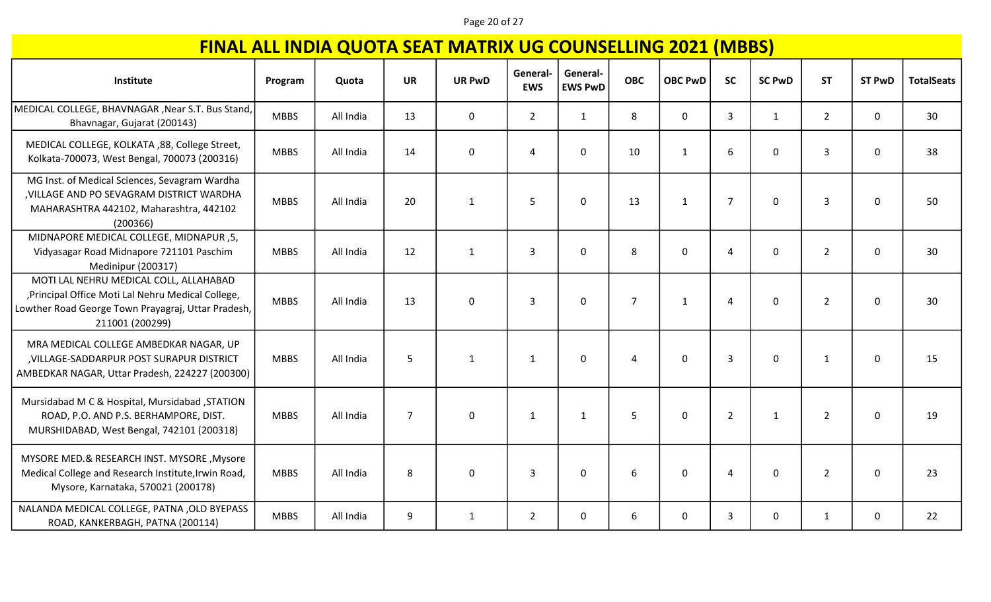### Page 20 of 27

| Institute                                                                                                                                                             | Program     | Quota     | <b>UR</b>      | <b>UR PwD</b> | General-<br><b>EWS</b> | General-<br><b>EWS PwD</b> | <b>OBC</b>     | <b>OBC PwD</b> | <b>SC</b>      | <b>SC PwD</b> | <b>ST</b>      | <b>ST PwD</b> | <b>TotalSeats</b> |
|-----------------------------------------------------------------------------------------------------------------------------------------------------------------------|-------------|-----------|----------------|---------------|------------------------|----------------------------|----------------|----------------|----------------|---------------|----------------|---------------|-------------------|
| MEDICAL COLLEGE, BHAVNAGAR, Near S.T. Bus Stand,<br>Bhavnagar, Gujarat (200143)                                                                                       | <b>MBBS</b> | All India | 13             | $\mathbf 0$   | $2^{\circ}$            | $\mathbf{1}$               | 8              | 0              | 3              | $\mathbf{1}$  | $\overline{2}$ | 0             | 30                |
| MEDICAL COLLEGE, KOLKATA ,88, College Street,<br>Kolkata-700073, West Bengal, 700073 (200316)                                                                         | <b>MBBS</b> | All India | 14             | $\pmb{0}$     | $\overline{4}$         | $\mathbf 0$                | 10             | $\mathbf{1}$   | 6              | $\mathbf 0$   | $\overline{3}$ | 0             | 38                |
| MG Inst. of Medical Sciences, Sevagram Wardha<br>, VILLAGE AND PO SEVAGRAM DISTRICT WARDHA<br>MAHARASHTRA 442102, Maharashtra, 442102<br>(200366)                     | <b>MBBS</b> | All India | 20             | $\mathbf{1}$  | 5                      | $\Omega$                   | 13             | $\mathbf{1}$   | $\overline{7}$ | $\mathbf 0$   | $\overline{3}$ | $\mathbf 0$   | 50                |
| MIDNAPORE MEDICAL COLLEGE, MIDNAPUR, 5,<br>Vidyasagar Road Midnapore 721101 Paschim<br>Medinipur (200317)                                                             | <b>MBBS</b> | All India | 12             | $\mathbf{1}$  | 3                      | $\mathbf 0$                | 8              | 0              | 4              | $\pmb{0}$     | $\overline{2}$ | 0             | 30                |
| MOTI LAL NEHRU MEDICAL COLL, ALLAHABAD<br>, Principal Office Moti Lal Nehru Medical College,<br>Lowther Road George Town Prayagraj, Uttar Pradesh,<br>211001 (200299) | <b>MBBS</b> | All India | 13             | 0             | 3                      | $\mathbf 0$                | $\overline{7}$ | $\mathbf{1}$   | $\overline{4}$ | $\mathbf 0$   | $\overline{2}$ | 0             | 30                |
| MRA MEDICAL COLLEGE AMBEDKAR NAGAR, UP<br>, VILLAGE-SADDARPUR POST SURAPUR DISTRICT<br>AMBEDKAR NAGAR, Uttar Pradesh, 224227 (200300)                                 | <b>MBBS</b> | All India | 5              | $\mathbf{1}$  | $\mathbf{1}$           | 0                          | 4              | 0              | 3              | $\mathbf 0$   | $\mathbf{1}$   | 0             | 15                |
| Mursidabad M C & Hospital, Mursidabad, STATION<br>ROAD, P.O. AND P.S. BERHAMPORE, DIST.<br>MURSHIDABAD, West Bengal, 742101 (200318)                                  | <b>MBBS</b> | All India | $\overline{7}$ | 0             | $\mathbf{1}$           | $\mathbf{1}$               | 5              | 0              | $\overline{2}$ | $\mathbf{1}$  | $\overline{2}$ | 0             | 19                |
| MYSORE MED.& RESEARCH INST. MYSORE, Mysore<br>Medical College and Research Institute, Irwin Road,<br>Mysore, Karnataka, 570021 (200178)                               | <b>MBBS</b> | All India | 8              | 0             | $\overline{3}$         | $\mathbf 0$                | 6              | 0              | 4              | $\pmb{0}$     | $\overline{2}$ | $\pmb{0}$     | 23                |
| NALANDA MEDICAL COLLEGE, PATNA , OLD BYEPASS<br>ROAD, KANKERBAGH, PATNA (200114)                                                                                      | <b>MBBS</b> | All India | 9              | $\mathbf{1}$  | $2^{\circ}$            | 0                          | 6              | $\mathbf{0}$   | 3              | $\mathbf 0$   | $\mathbf{1}$   | 0             | 22                |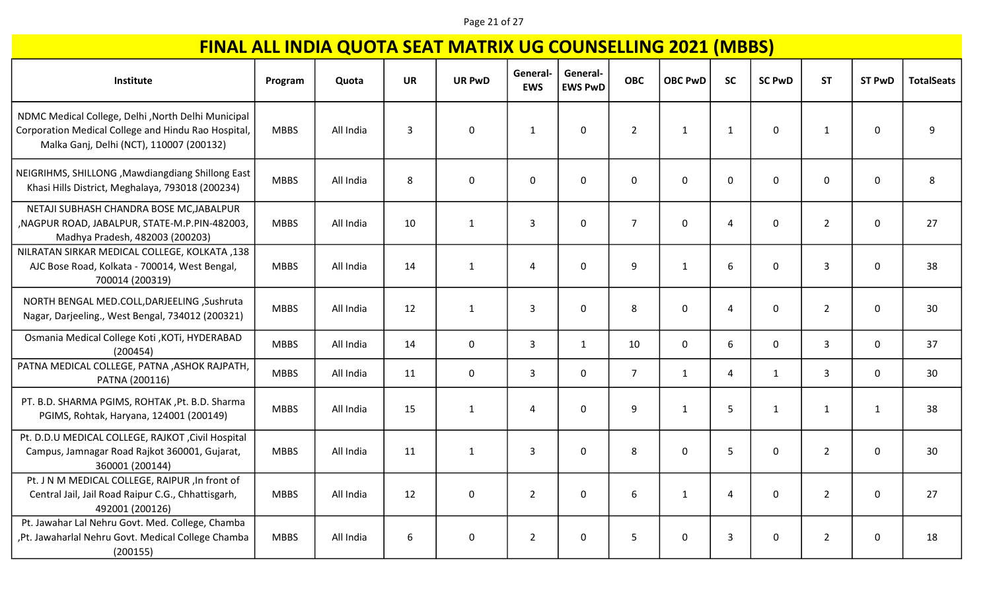### Page 21 of 27

| Institute                                                                                                                                              | Program     | Quota     | <b>UR</b> | <b>UR PwD</b> | General-<br><b>EWS</b> | General-<br><b>EWS PwD</b> | <b>OBC</b>     | <b>OBC PwD</b> | <b>SC</b>      | <b>SC PwD</b> | <b>ST</b>      | <b>ST PwD</b> | <b>TotalSeats</b> |
|--------------------------------------------------------------------------------------------------------------------------------------------------------|-------------|-----------|-----------|---------------|------------------------|----------------------------|----------------|----------------|----------------|---------------|----------------|---------------|-------------------|
| NDMC Medical College, Delhi , North Delhi Municipal<br>Corporation Medical College and Hindu Rao Hospital,<br>Malka Ganj, Delhi (NCT), 110007 (200132) | <b>MBBS</b> | All India | 3         | $\mathbf 0$   | $\mathbf{1}$           | $\overline{0}$             | $\overline{2}$ | $\mathbf{1}$   | $\mathbf{1}$   | 0             | $\mathbf{1}$   | 0             | 9                 |
| NEIGRIHMS, SHILLONG, Mawdiangdiang Shillong East<br>Khasi Hills District, Meghalaya, 793018 (200234)                                                   | <b>MBBS</b> | All India | 8         | $\mathbf 0$   | 0                      | $\mathbf 0$                | $\mathbf 0$    | $\mathbf 0$    | $\mathbf 0$    | 0             | 0              | 0             | 8                 |
| NETAJI SUBHASH CHANDRA BOSE MC, JABALPUR<br>, NAGPUR ROAD, JABALPUR, STATE-M.P.PIN-482003,<br>Madhya Pradesh, 482003 (200203)                          | <b>MBBS</b> | All India | 10        | $\mathbf{1}$  | $\overline{3}$         | $\mathbf 0$                | $\overline{7}$ | $\mathbf 0$    | $\overline{4}$ | 0             | $\overline{2}$ | $\mathbf 0$   | 27                |
| NILRATAN SIRKAR MEDICAL COLLEGE, KOLKATA, 138<br>AJC Bose Road, Kolkata - 700014, West Bengal,<br>700014 (200319)                                      | <b>MBBS</b> | All India | 14        | $\mathbf{1}$  | 4                      | $\mathbf 0$                | 9              | $\mathbf{1}$   | 6              | 0             | 3              | 0             | 38                |
| NORTH BENGAL MED.COLL, DARJEELING, Sushruta<br>Nagar, Darjeeling., West Bengal, 734012 (200321)                                                        | <b>MBBS</b> | All India | 12        | $\mathbf{1}$  | $\overline{3}$         | $\Omega$                   | 8              | $\mathbf{0}$   | $\overline{4}$ | 0             | $\overline{2}$ | 0             | 30                |
| Osmania Medical College Koti , KOTi, HYDERABAD<br>(200454)                                                                                             | <b>MBBS</b> | All India | 14        | $\mathbf 0$   | $\mathbf{3}$           | $\mathbf{1}$               | 10             | $\mathbf 0$    | 6              | $\mathbf 0$   | $\mathbf{3}$   | $\mathbf 0$   | 37                |
| PATNA MEDICAL COLLEGE, PATNA , ASHOK RAJPATH,<br>PATNA (200116)                                                                                        | <b>MBBS</b> | All India | 11        | $\mathbf 0$   | $\mathbf{3}$           | $\overline{0}$             | $\overline{7}$ | $\mathbf{1}$   | $\overline{4}$ | $\mathbf{1}$  | 3              | 0             | 30                |
| PT. B.D. SHARMA PGIMS, ROHTAK, Pt. B.D. Sharma<br>PGIMS, Rohtak, Haryana, 124001 (200149)                                                              | <b>MBBS</b> | All India | 15        | $\mathbf{1}$  | 4                      | $\mathbf 0$                | 9              | $\mathbf{1}$   | 5              | $\mathbf{1}$  | $\mathbf{1}$   | $\mathbf{1}$  | 38                |
| Pt. D.D.U MEDICAL COLLEGE, RAJKOT, Civil Hospital<br>Campus, Jamnagar Road Rajkot 360001, Gujarat,<br>360001 (200144)                                  | <b>MBBS</b> | All India | 11        | $\mathbf{1}$  | $\overline{3}$         | $\Omega$                   | 8              | $\Omega$       | 5              | 0             | $\overline{2}$ | $\mathbf 0$   | 30                |
| Pt. J N M MEDICAL COLLEGE, RAIPUR , In front of<br>Central Jail, Jail Road Raipur C.G., Chhattisgarh,<br>492001 (200126)                               | <b>MBBS</b> | All India | 12        | $\mathbf 0$   | $\overline{2}$         | $\Omega$                   | 6              | $\mathbf{1}$   | $\overline{4}$ | 0             | $\overline{2}$ | 0             | 27                |
| Pt. Jawahar Lal Nehru Govt. Med. College, Chamba<br>,Pt. Jawaharlal Nehru Govt. Medical College Chamba<br>(200155)                                     | <b>MBBS</b> | All India | 6         | 0             | $\overline{2}$         | 0                          | 5              | 0              | 3              | 0             | $\overline{2}$ | 0             | 18                |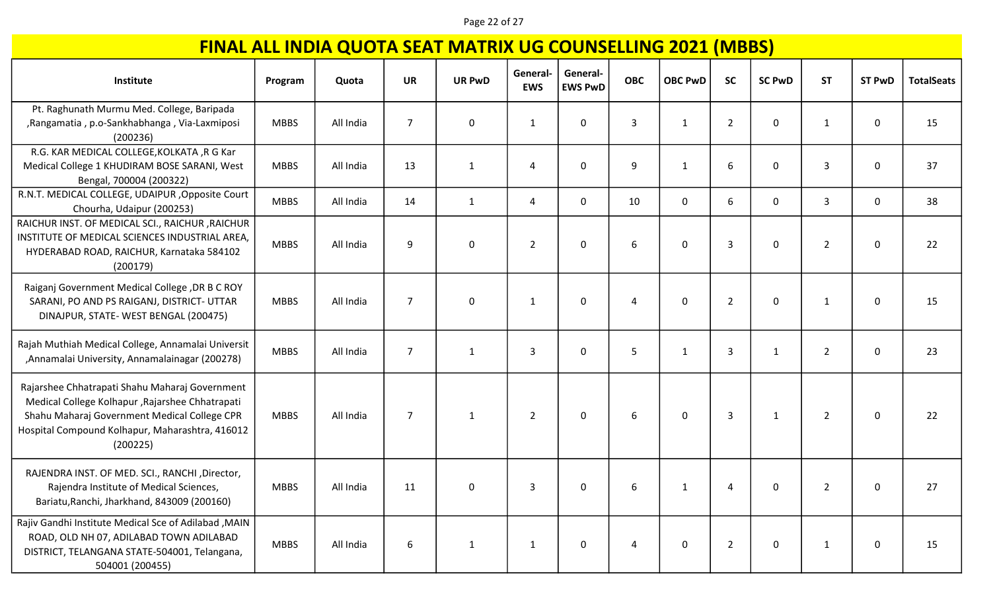### Page 22 of 27

| Institute                                                                                                                                                                                                        | Program     | Quota     | <b>UR</b>      | <b>UR PwD</b> | General-<br><b>EWS</b> | General-<br><b>EWS PwD</b> | <b>OBC</b> | <b>OBC PwD</b> | <b>SC</b>      | <b>SC PwD</b> | <b>ST</b>      | <b>ST PwD</b> | <b>TotalSeats</b> |
|------------------------------------------------------------------------------------------------------------------------------------------------------------------------------------------------------------------|-------------|-----------|----------------|---------------|------------------------|----------------------------|------------|----------------|----------------|---------------|----------------|---------------|-------------------|
| Pt. Raghunath Murmu Med. College, Baripada<br>, Rangamatia, p.o-Sankhabhanga, Via-Laxmiposi<br>(200236)                                                                                                          | <b>MBBS</b> | All India | $\overline{7}$ | $\mathbf 0$   | 1                      | 0                          | 3          | 1              | $\overline{2}$ | 0             | 1              | 0             | 15                |
| R.G. KAR MEDICAL COLLEGE, KOLKATA, R G Kar<br>Medical College 1 KHUDIRAM BOSE SARANI, West<br>Bengal, 700004 (200322)                                                                                            | <b>MBBS</b> | All India | 13             | $\mathbf{1}$  | 4                      | $\mathbf 0$                | 9          | 1              | 6              | 0             | 3              | 0             | 37                |
| R.N.T. MEDICAL COLLEGE, UDAIPUR , Opposite Court<br>Chourha, Udaipur (200253)                                                                                                                                    | <b>MBBS</b> | All India | 14             | $\mathbf{1}$  | 4                      | $\mathbf 0$                | 10         | 0              | 6              | 0             | 3              | 0             | 38                |
| RAICHUR INST. OF MEDICAL SCI., RAICHUR, RAICHUR<br>INSTITUTE OF MEDICAL SCIENCES INDUSTRIAL AREA,<br>HYDERABAD ROAD, RAICHUR, Karnataka 584102<br>(200179)                                                       | <b>MBBS</b> | All India | 9              | $\mathbf 0$   | $\overline{2}$         | 0                          | 6          | 0              | $\overline{3}$ | 0             | $\overline{2}$ | 0             | 22                |
| Raiganj Government Medical College, DR B C ROY<br>SARANI, PO AND PS RAIGANJ, DISTRICT- UTTAR<br>DINAJPUR, STATE-WEST BENGAL (200475)                                                                             | <b>MBBS</b> | All India | $\overline{7}$ | $\mathbf 0$   | 1                      | $\mathbf 0$                | 4          | 0              | $\overline{2}$ | 0             | 1              | $\mathbf 0$   | 15                |
| Rajah Muthiah Medical College, Annamalai Universit<br>, Annamalai University, Annamalainagar (200278)                                                                                                            | <b>MBBS</b> | All India | $\overline{7}$ | $\mathbf{1}$  | 3                      | 0                          | 5          | 1              | 3              | 1             | $\overline{2}$ | 0             | 23                |
| Rajarshee Chhatrapati Shahu Maharaj Government<br>Medical College Kolhapur, Rajarshee Chhatrapati<br>Shahu Maharaj Government Medical College CPR<br>Hospital Compound Kolhapur, Maharashtra, 416012<br>(200225) | <b>MBBS</b> | All India | $\overline{7}$ | $\mathbf{1}$  | $\overline{2}$         | 0                          | 6          | 0              | 3              | 1             | $\overline{2}$ | 0             | 22                |
| RAJENDRA INST. OF MED. SCI., RANCHI, Director,<br>Rajendra Institute of Medical Sciences,<br>Bariatu, Ranchi, Jharkhand, 843009 (200160)                                                                         | <b>MBBS</b> | All India | 11             | 0             | 3                      | 0                          | 6          | 1              | 4              | 0             | $\overline{2}$ | 0             | 27                |
| Rajiv Gandhi Institute Medical Sce of Adilabad, MAIN<br>ROAD, OLD NH 07, ADILABAD TOWN ADILABAD<br>DISTRICT, TELANGANA STATE-504001, Telangana,<br>504001 (200455)                                               | <b>MBBS</b> | All India | 6              | $\mathbf{1}$  | 1                      | 0                          | 4          | 0              | $\overline{2}$ | 0             | $\mathbf{1}$   | $\mathbf 0$   | 15                |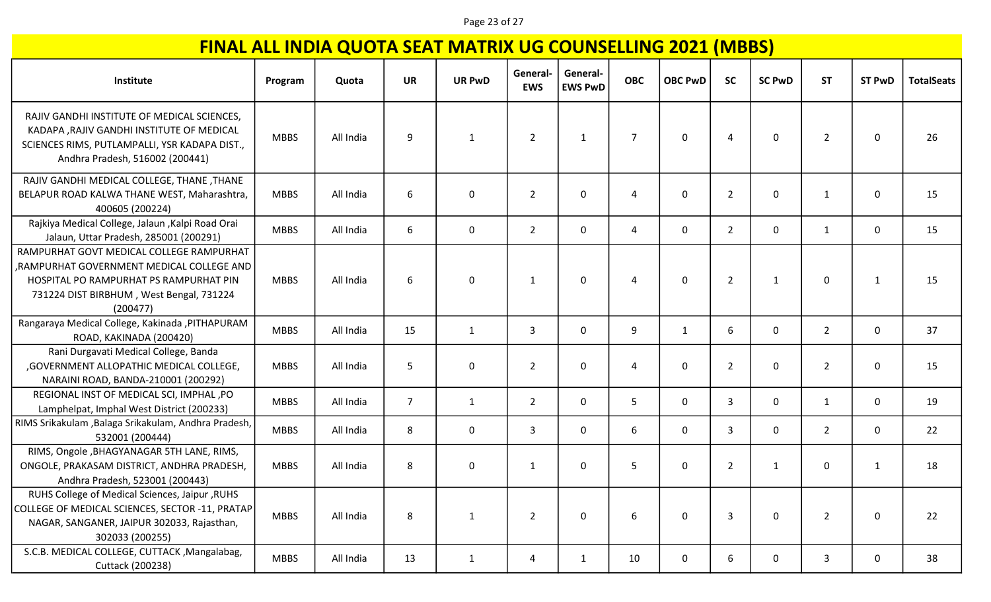### Page 23 of 27

| Institute                                                                                                                                                                              | Program     | Quota     | <b>UR</b>      | <b>UR PwD</b> | General-<br><b>EWS</b> | General-<br><b>EWS PwD</b> | <b>OBC</b>     | <b>OBC PwD</b> | <b>SC</b>      | <b>SC PwD</b> | <b>ST</b>      | <b>ST PwD</b> | <b>TotalSeats</b> |
|----------------------------------------------------------------------------------------------------------------------------------------------------------------------------------------|-------------|-----------|----------------|---------------|------------------------|----------------------------|----------------|----------------|----------------|---------------|----------------|---------------|-------------------|
| RAJIV GANDHI INSTITUTE OF MEDICAL SCIENCES,<br>KADAPA , RAJIV GANDHI INSTITUTE OF MEDICAL<br>SCIENCES RIMS, PUTLAMPALLI, YSR KADAPA DIST.,<br>Andhra Pradesh, 516002 (200441)          | <b>MBBS</b> | All India | 9              | 1             | $\overline{2}$         | $\mathbf{1}$               | $\overline{7}$ | $\mathbf{0}$   | $\overline{4}$ | 0             | $\overline{2}$ | $\mathbf{0}$  | 26                |
| RAJIV GANDHI MEDICAL COLLEGE, THANE, THANE<br>BELAPUR ROAD KALWA THANE WEST, Maharashtra,<br>400605 (200224)                                                                           | <b>MBBS</b> | All India | 6              | $\mathbf 0$   | $\overline{2}$         | 0                          |                | 0              | $\overline{2}$ | 0             | 1              | 0             | 15                |
| Rajkiya Medical College, Jalaun , Kalpi Road Orai<br>Jalaun, Uttar Pradesh, 285001 (200291)                                                                                            | <b>MBBS</b> | All India | 6              | $\mathbf 0$   | $\overline{2}$         | $\mathbf 0$                | $\overline{a}$ | $\mathbf 0$    | $\overline{2}$ | 0             | 1              | 0             | 15                |
| RAMPURHAT GOVT MEDICAL COLLEGE RAMPURHAT<br>RAMPURHAT GOVERNMENT MEDICAL COLLEGE AND<br>HOSPITAL PO RAMPURHAT PS RAMPURHAT PIN<br>731224 DIST BIRBHUM, West Bengal, 731224<br>(200477) | <b>MBBS</b> | All India | 6              | $\mathbf 0$   | 1                      | 0                          | Δ              | $\mathbf{0}$   | $\overline{2}$ | 1             | 0              | 1             | 15                |
| Rangaraya Medical College, Kakinada , PITHAPURAM<br>ROAD, KAKINADA (200420)                                                                                                            | <b>MBBS</b> | All India | 15             | $\mathbf{1}$  | 3                      | $\mathbf 0$                | 9              | $\mathbf{1}$   | 6              | 0             | $\overline{2}$ | 0             | 37                |
| Rani Durgavati Medical College, Banda<br>, GOVERNMENT ALLOPATHIC MEDICAL COLLEGE,<br>NARAINI ROAD, BANDA-210001 (200292)                                                               | <b>MBBS</b> | All India | 5              | $\mathbf 0$   | $\overline{2}$         | $\mathbf{0}$               |                | $\mathbf{0}$   | $\overline{2}$ | 0             | $\overline{2}$ | 0             | 15                |
| REGIONAL INST OF MEDICAL SCI, IMPHAL, PO<br>Lamphelpat, Imphal West District (200233)                                                                                                  | <b>MBBS</b> | All India | $\overline{7}$ | $\mathbf{1}$  | $\overline{2}$         | $\mathbf 0$                | 5              | $\mathbf 0$    | 3              | 0             | 1              | 0             | 19                |
| RIMS Srikakulam , Balaga Srikakulam, Andhra Pradesh,<br>532001 (200444)                                                                                                                | <b>MBBS</b> | All India | 8              | $\mathbf 0$   | 3                      | $\mathbf 0$                | 6              | 0              | $\overline{3}$ | 0             | $\overline{2}$ | 0             | 22                |
| RIMS, Ongole , BHAGYANAGAR 5TH LANE, RIMS,<br>ONGOLE, PRAKASAM DISTRICT, ANDHRA PRADESH,<br>Andhra Pradesh, 523001 (200443)                                                            | <b>MBBS</b> | All India | 8              | 0             | 1                      | $\mathbf 0$                | 5              | 0              | $\overline{2}$ | 1             | $\mathbf 0$    | 1             | 18                |
| RUHS College of Medical Sciences, Jaipur, RUHS<br>COLLEGE OF MEDICAL SCIENCES, SECTOR -11, PRATAP<br>NAGAR, SANGANER, JAIPUR 302033, Rajasthan,<br>302033 (200255)                     | <b>MBBS</b> | All India | 8              | $\mathbf{1}$  | $\overline{2}$         | $\mathbf 0$                | 6              | 0              | $\mathbf{3}$   | 0             | $\overline{2}$ | 0             | 22                |
| S.C.B. MEDICAL COLLEGE, CUTTACK, Mangalabag,<br>Cuttack (200238)                                                                                                                       | <b>MBBS</b> | All India | 13             | $\mathbf{1}$  | 4                      | $\mathbf{1}$               | 10             | $\mathbf 0$    | 6              | 0             | 3              | 0             | 38                |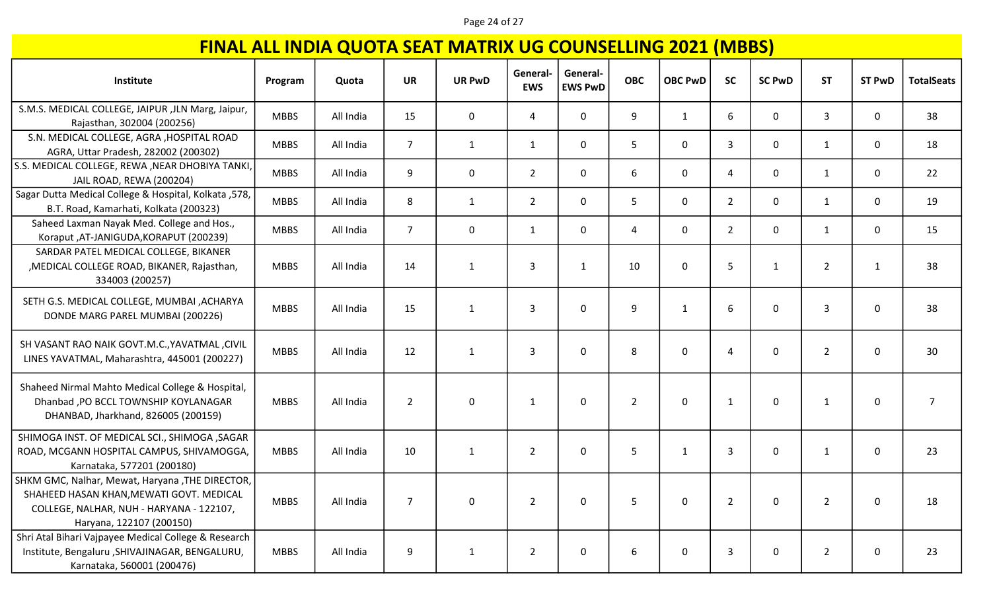### Page 24 of 27

| Institute                                                                                                                                                           | Program     | Quota     | <b>UR</b>        | <b>UR PwD</b> | General-<br><b>EWS</b> | General-<br><b>EWS PwD</b> | <b>OBC</b>     | <b>OBC PwD</b> | <b>SC</b>      | <b>SC PwD</b> | <b>ST</b>      | <b>ST PwD</b> | <b>TotalSeats</b> |
|---------------------------------------------------------------------------------------------------------------------------------------------------------------------|-------------|-----------|------------------|---------------|------------------------|----------------------------|----------------|----------------|----------------|---------------|----------------|---------------|-------------------|
| S.M.S. MEDICAL COLLEGE, JAIPUR ,JLN Marg, Jaipur,<br>Rajasthan, 302004 (200256)                                                                                     | <b>MBBS</b> | All India | 15               | $\mathbf 0$   | 4                      | 0                          | 9              | $\mathbf{1}$   | 6              | 0             | 3              | 0             | 38                |
| S.N. MEDICAL COLLEGE, AGRA , HOSPITAL ROAD<br>AGRA, Uttar Pradesh, 282002 (200302)                                                                                  | <b>MBBS</b> | All India | $\overline{7}$   | $\mathbf{1}$  | $\mathbf{1}$           | 0                          | 5              | $\mathbf 0$    | 3              | $\mathsf{O}$  | $\mathbf{1}$   | 0             | 18                |
| S.S. MEDICAL COLLEGE, REWA , NEAR DHOBIYA TANKI,<br>JAIL ROAD, REWA (200204)                                                                                        | <b>MBBS</b> | All India | 9                | 0             | $\overline{2}$         | 0                          | 6              | $\mathbf 0$    | $\overline{4}$ | 0             | $\mathbf{1}$   | 0             | 22                |
| Sagar Dutta Medical College & Hospital, Kolkata ,578,<br>B.T. Road, Kamarhati, Kolkata (200323)                                                                     | <b>MBBS</b> | All India | 8                | $\mathbf{1}$  | $\overline{2}$         | 0                          | 5              | $\mathbf 0$    | $\overline{2}$ | $\mathbf 0$   | $\mathbf{1}$   | 0             | 19                |
| Saheed Laxman Nayak Med. College and Hos.,<br>Koraput, AT-JANIGUDA, KORAPUT (200239)                                                                                | <b>MBBS</b> | All India | $\overline{7}$   | 0             | $\mathbf{1}$           | 0                          | 4              | $\mathbf 0$    | $\overline{2}$ | $\mathsf{O}$  | $\mathbf{1}$   | 0             | 15                |
| SARDAR PATEL MEDICAL COLLEGE, BIKANER<br>, MEDICAL COLLEGE ROAD, BIKANER, Rajasthan,<br>334003 (200257)                                                             | <b>MBBS</b> | All India | 14               | $\mathbf{1}$  | 3                      | 1                          | 10             | $\mathbf 0$    | 5              | 1             | 2              | 1             | 38                |
| SETH G.S. MEDICAL COLLEGE, MUMBAI , ACHARYA<br>DONDE MARG PAREL MUMBAI (200226)                                                                                     | <b>MBBS</b> | All India | 15               | $\mathbf{1}$  | 3                      | 0                          | 9              | $\mathbf{1}$   | 6              | $\mathbf 0$   | 3              | 0             | 38                |
| SH VASANT RAO NAIK GOVT.M.C., YAVATMAL, CIVIL<br>LINES YAVATMAL, Maharashtra, 445001 (200227)                                                                       | <b>MBBS</b> | All India | 12               | $\mathbf{1}$  | 3                      | 0                          | 8              | $\mathbf 0$    | 4              | 0             | $\overline{2}$ | 0             | 30                |
| Shaheed Nirmal Mahto Medical College & Hospital,<br>Dhanbad , PO BCCL TOWNSHIP KOYLANAGAR<br>DHANBAD, Jharkhand, 826005 (200159)                                    | <b>MBBS</b> | All India | $\overline{2}$   | $\mathbf 0$   | $\mathbf{1}$           | 0                          | $\overline{2}$ | 0              | $\mathbf{1}$   | 0             | $\mathbf{1}$   | 0             | $\overline{7}$    |
| SHIMOGA INST. OF MEDICAL SCI., SHIMOGA , SAGAR<br>ROAD, MCGANN HOSPITAL CAMPUS, SHIVAMOGGA,<br>Karnataka, 577201 (200180)                                           | <b>MBBS</b> | All India | 10               | $\mathbf{1}$  | $\overline{2}$         | 0                          | 5              | $\mathbf{1}$   | 3              | 0             | $\mathbf{1}$   | 0             | 23                |
| SHKM GMC, Nalhar, Mewat, Haryana, THE DIRECTOR,<br>SHAHEED HASAN KHAN, MEWATI GOVT. MEDICAL<br>COLLEGE, NALHAR, NUH - HARYANA - 122107,<br>Haryana, 122107 (200150) | <b>MBBS</b> | All India | $\overline{7}$   | 0             | $\overline{2}$         | 0                          | 5              | 0              | $\overline{2}$ | 0             | $\overline{2}$ | 0             | 18                |
| Shri Atal Bihari Vajpayee Medical College & Research<br>Institute, Bengaluru , SHIVAJINAGAR, BENGALURU,<br>Karnataka, 560001 (200476)                               | <b>MBBS</b> | All India | $\boldsymbol{9}$ | $\mathbf{1}$  | $\overline{2}$         | 0                          | 6              | 0              | 3              | 0             | $\overline{2}$ | 0             | 23                |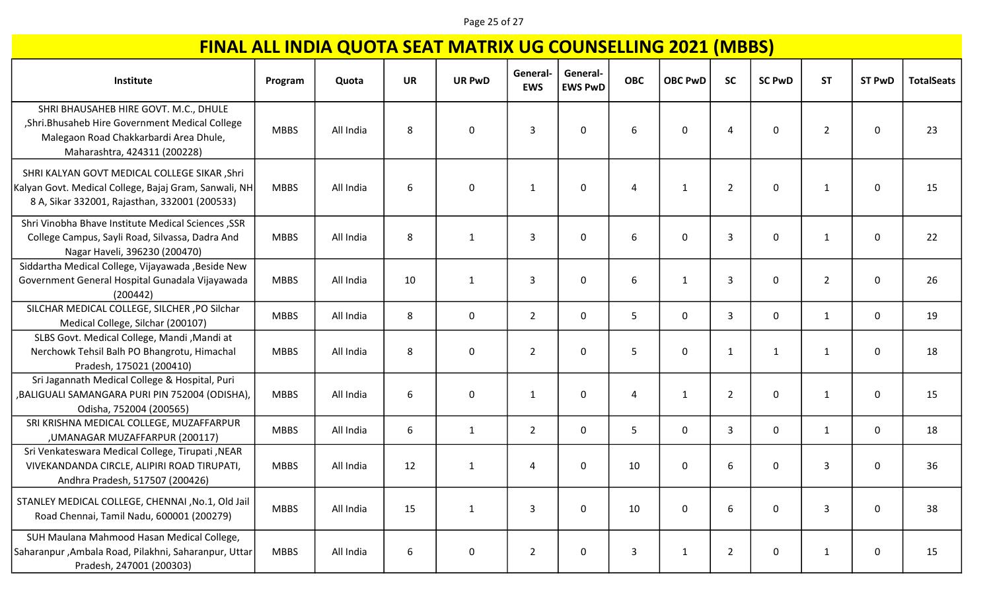### Page 25 of 27

| Institute                                                                                                                                                           | Program     | Quota     | <b>UR</b> | <b>UR PwD</b>    | General-<br><b>EWS</b> | General-<br><b>EWS PwD</b> | <b>OBC</b>   | <b>OBC PwD</b> | <b>SC</b>      | <b>SC PwD</b> | <b>ST</b>      | <b>ST PwD</b> | <b>TotalSeats</b> |
|---------------------------------------------------------------------------------------------------------------------------------------------------------------------|-------------|-----------|-----------|------------------|------------------------|----------------------------|--------------|----------------|----------------|---------------|----------------|---------------|-------------------|
| SHRI BHAUSAHEB HIRE GOVT. M.C., DHULE<br>, Shri. Bhusaheb Hire Government Medical College<br>Malegaon Road Chakkarbardi Area Dhule,<br>Maharashtra, 424311 (200228) | <b>MBBS</b> | All India | 8         | 0                | 3                      | $\mathbf{0}$               | 6            | $\mathbf{0}$   | $\overline{4}$ | 0             | $\overline{2}$ | 0             | 23                |
| SHRI KALYAN GOVT MEDICAL COLLEGE SIKAR , Shri<br>Kalyan Govt. Medical College, Bajaj Gram, Sanwali, NH<br>8 A, Sikar 332001, Rajasthan, 332001 (200533)             | <b>MBBS</b> | All India | 6         | $\mathbf 0$      | 1                      | 0                          | 4            | 1              | $\overline{2}$ | 0             | 1              | 0             | 15                |
| Shri Vinobha Bhave Institute Medical Sciences, SSR<br>College Campus, Sayli Road, Silvassa, Dadra And<br>Nagar Haveli, 396230 (200470)                              | <b>MBBS</b> | All India | 8         | 1                | 3                      | $\mathbf{0}$               | 6            | $\Omega$       | 3              | 0             | 1              | 0             | 22                |
| Siddartha Medical College, Vijayawada , Beside New<br>Government General Hospital Gunadala Vijayawada<br>(200442)                                                   | <b>MBBS</b> | All India | 10        | 1                | 3                      | $\mathbf{0}$               | 6            | 1              | 3              | 0             | $\overline{2}$ | 0             | 26                |
| SILCHAR MEDICAL COLLEGE, SILCHER , PO Silchar<br>Medical College, Silchar (200107)                                                                                  | <b>MBBS</b> | All India | 8         | $\mathbf 0$      | $\overline{2}$         | $\Omega$                   | 5            | $\mathbf{0}$   | 3              | 0             | $\mathbf{1}$   | 0             | 19                |
| SLBS Govt. Medical College, Mandi, Mandi at<br>Nerchowk Tehsil Balh PO Bhangrotu, Himachal<br>Pradesh, 175021 (200410)                                              | <b>MBBS</b> | All India | 8         | $\mathbf 0$      | $\overline{2}$         | $\mathbf{0}$               | 5            | $\mathbf{0}$   | $\mathbf{1}$   | 1             | 1              | 0             | 18                |
| Sri Jagannath Medical College & Hospital, Puri<br>BALIGUALI SAMANGARA PURI PIN 752004 (ODISHA),<br>Odisha, 752004 (200565)                                          | <b>MBBS</b> | All India | 6         | $\pmb{0}$        | $\mathbf{1}$           | $\mathbf 0$                | 4            | $\mathbf{1}$   | $\overline{2}$ | 0             | 1              | 0             | 15                |
| SRI KRISHNA MEDICAL COLLEGE, MUZAFFARPUR<br>, UMANAGAR MUZAFFARPUR (200117)                                                                                         | <b>MBBS</b> | All India | 6         | $\mathbf{1}$     | $\overline{2}$         | $\mathbf 0$                | 5            | 0              | 3              | 0             | 1              | 0             | 18                |
| Sri Venkateswara Medical College, Tirupati, NEAR<br>VIVEKANDANDA CIRCLE, ALIPIRI ROAD TIRUPATI,<br>Andhra Pradesh, 517507 (200426)                                  | <b>MBBS</b> | All India | 12        | $\mathbf{1}$     | 4                      | 0                          | 10           | 0              | 6              | 0             | 3              | 0             | 36                |
| STANLEY MEDICAL COLLEGE, CHENNAI , No.1, Old Jail<br>Road Chennai, Tamil Nadu, 600001 (200279)                                                                      | <b>MBBS</b> | All India | 15        | $\mathbf{1}$     | 3                      | $\mathbf 0$                | 10           | $\mathbf 0$    | 6              | 0             | 3              | 0             | 38                |
| SUH Maulana Mahmood Hasan Medical College,<br>Saharanpur, Ambala Road, Pilakhni, Saharanpur, Uttar<br>Pradesh, 247001 (200303)                                      | <b>MBBS</b> | All India | 6         | $\boldsymbol{0}$ | $\overline{2}$         | 0                          | $\mathbf{3}$ | $\mathbf{1}$   | $\overline{2}$ | 0             | $\mathbf{1}$   | 0             | 15                |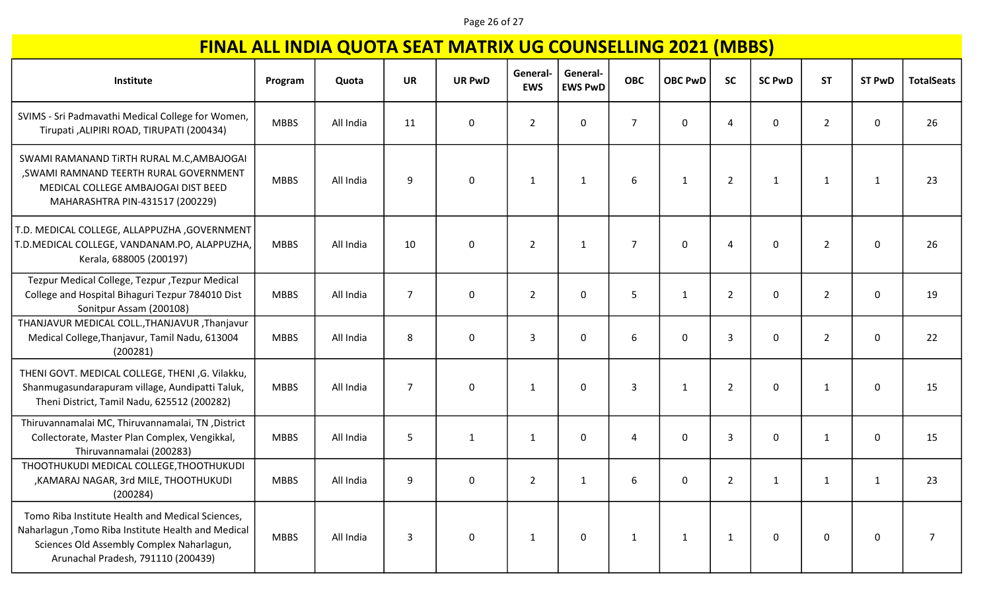### Page 26 of 27

| Institute                                                                                                                                                                                 | Program     | Quota     | <b>UR</b>      | <b>UR PwD</b> | General-<br><b>EWS</b> | General-<br><b>EWS PwD</b> | <b>OBC</b>     | <b>OBC PwD</b> | - 10<br><b>SC</b> | <b>SC PwD</b> | <b>ST</b>      | <b>ST PwD</b> | <b>TotalSeats</b> |
|-------------------------------------------------------------------------------------------------------------------------------------------------------------------------------------------|-------------|-----------|----------------|---------------|------------------------|----------------------------|----------------|----------------|-------------------|---------------|----------------|---------------|-------------------|
| SVIMS - Sri Padmavathi Medical College for Women,<br>Tirupati , ALIPIRI ROAD, TIRUPATI (200434)                                                                                           | <b>MBBS</b> | All India | 11             | $\mathbf 0$   | $\overline{2}$         | $\mathbf{0}$               | $\overline{7}$ | $\mathbf{0}$   | $\overline{4}$    | 0             | $\overline{2}$ | 0             | 26                |
| SWAMI RAMANAND TIRTH RURAL M.C, AMBAJOGAI<br>, SWAMI RAMNAND TEERTH RURAL GOVERNMENT<br>MEDICAL COLLEGE AMBAJOGAI DIST BEED<br>MAHARASHTRA PIN-431517 (200229)                            | <b>MBBS</b> | All India | 9              | 0             | 1                      | $\mathbf{1}$               | 6              | $\mathbf{1}$   | $\overline{2}$    | $\mathbf{1}$  | $\mathbf{1}$   |               | 23                |
| T.D. MEDICAL COLLEGE, ALLAPPUZHA ,GOVERNMENT<br>T.D.MEDICAL COLLEGE, VANDANAM.PO, ALAPPUZHA,<br>Kerala, 688005 (200197)                                                                   | <b>MBBS</b> | All India | 10             | 0             | $\overline{2}$         | $\mathbf{1}$               | $\overline{7}$ | $\mathbf 0$    | $\overline{4}$    | 0             | $\overline{2}$ | 0             | 26                |
| Tezpur Medical College, Tezpur, Tezpur Medical<br>College and Hospital Bihaguri Tezpur 784010 Dist<br>Sonitpur Assam (200108)                                                             | <b>MBBS</b> | All India | $\overline{7}$ | $\mathbf 0$   | $\overline{2}$         | $\mathbf{0}$               | 5              | 1              | $\overline{2}$    | 0             | $\overline{2}$ | 0             | 19                |
| THANJAVUR MEDICAL COLL., THANJAVUR, Thanjavur<br>Medical College, Thanjavur, Tamil Nadu, 613004<br>(200281)                                                                               | <b>MBBS</b> | All India | 8              | 0             | 3                      | $\mathbf 0$                | 6              | 0              | 3                 | 0             | $\overline{2}$ | 0             | 22                |
| THENI GOVT. MEDICAL COLLEGE, THENI ,G. Vilakku,<br>Shanmugasundarapuram village, Aundipatti Taluk,<br>Theni District, Tamil Nadu, 625512 (200282)                                         | <b>MBBS</b> | All India | $\overline{7}$ | $\mathbf{0}$  | 1                      | $\mathbf 0$                | $\overline{3}$ | $\mathbf{1}$   | $\overline{2}$    | 0             | 1              | 0             | 15                |
| Thiruvannamalai MC, Thiruvannamalai, TN, District<br>Collectorate, Master Plan Complex, Vengikkal,<br>Thiruvannamalai (200283)                                                            | <b>MBBS</b> | All India | 5              | 1             | 1                      | $\mathbf{0}$               | 4              | $\mathbf{0}$   | 3                 | 0             | 1              | 0             | 15                |
| THOOTHUKUDI MEDICAL COLLEGE, THOOTHUKUDI<br>, KAMARAJ NAGAR, 3rd MILE, THOOTHUKUDI<br>(200284)                                                                                            | <b>MBBS</b> | All India | 9              | 0             | $\overline{2}$         | 1                          | 6              | $\mathbf{0}$   | $\overline{2}$    | $\mathbf{1}$  | $\mathbf{1}$   | 1             | 23                |
| Tomo Riba Institute Health and Medical Sciences,<br>Naharlagun, Tomo Riba Institute Health and Medical<br>Sciences Old Assembly Complex Naharlagun,<br>Arunachal Pradesh, 791110 (200439) | <b>MBBS</b> | All India | 3              | 0             | 1                      | 0                          | 1              | $\mathbf{1}$   | $\mathbf{1}$      | 0             | 0              | 0             | 7                 |